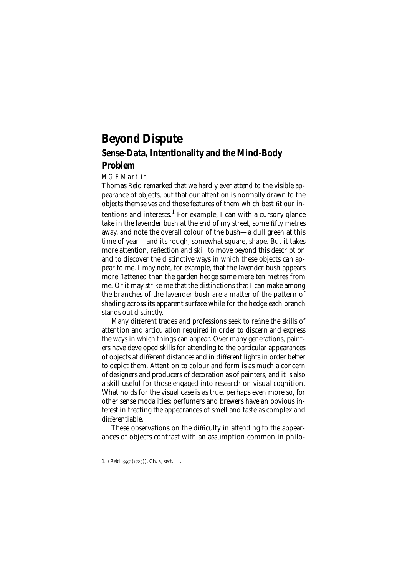# **Beyond Dispute Sense-Data, Intentionality and the Mind-Body Problem**

## MG F Mart in

Thomas Reid remarked that we hardly ever attend to the visible appearance of objects, but that our attention is normally drawn to the objects themselves and those features of them which best fit our intentions and interests.<sup>1</sup> For example, I can with a cursory glance take in the lavender bush at the end of my street, some fifty metres away, and note the overall colour of the bush—a dull green at this time of year—and its rough, somewhat square, shape. But it takes more attention, reflection and skill to move beyond this description and to discover the distinctive ways in which these objects can appear to me. I may note, for example, that the lavender bush appears more flattened than the garden hedge some mere ten metres from me. Or it may strike me that the distinctions that I can make among the branches of the lavender bush are a matter of the pattern of shading across its apparent surface while for the hedge each branch stands out distinctly.

Many different trades and professions seek to refine the skills of attention and articulation required in order to discern and express the ways in which things can appear. Over many generations, painters have developed skills for attending to the particular appearances of objects at different distances and in different lights in order better to depict them. Attention to colour and form is as much a concern of designers and producers of decoration as of painters, and it is also a skill useful for those engaged into research on visual cognition. What holds for the visual case is as true, perhaps even more so, for other sense modalities: perfumers and brewers have an obvious interest in treating the appearances of smell and taste as complex and differentiable.

These observations on the difficulty in attending to the appearances of objects contrast with an assumption common in philo-

<sup>1. (</sup>Reid 1997 (1785)), Ch. 6, sect. III.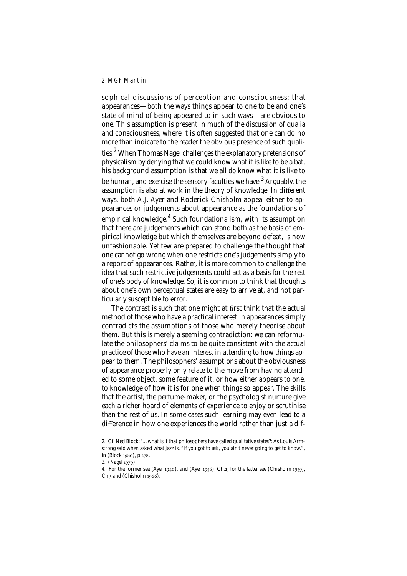sophical discussions of perception and consciousness: that appearances—both the ways things appear to one to be and one's state of mind of being appeared to in such ways—are obvious to one. This assumption is present in much of the discussion of qualia and consciousness, where it is often suggested that one can do no more than indicate to the reader the obvious presence of such qualities.<sup>2</sup> When Thomas Nagel challenges the explanatory pretensions of physicalism by denying that we could know what it is like to be a bat, his background assumption is that we all *do* know what it is like to be human, and exercise the sensory faculties we have.<sup>3</sup> Arguably, the assumption is also at work in the theory of knowledge. In different ways, both A.J. Ayer and Roderick Chisholm appeal either to appearances or judgements about appearance as the foundations of empirical knowledge.<sup>4</sup> Such foundationalism, with its assumption that there are judgements which can stand both as the basis of empirical knowledge but which themselves are beyond defeat, is now unfashionable. Yet few are prepared to challenge the thought that one cannot go wrong when one restricts one's judgements simply to a report of appearances. Rather, it is more common to challenge the idea that such restrictive judgements could act as a basis for the rest of one's body of knowledge. So, it is common to think that thoughts about one's own perceptual states are easy to arrive at, and not particularly susceptible to error.

The contrast is such that one might at first think that the actual method of those who have a practical interest in appearances simply contradicts the assumptions of those who merely theorise about them. But this is merely a seeming contradiction: we can reformulate the philosophers' claims to be quite consistent with the actual practice of those who have an interest in attending to how things appear to them. The philosophers' assumptions about the obviousness of appearance properly only relate to the move from having attended to some object, some feature of it, or how either appears to one, to knowledge of how it is for one when things so appear. The skills that the artist, the perfume-maker, or the psychologist nurture give each a richer hoard of elements of experience to enjoy or scrutinise than the rest of us. In some cases such learning may even lead to a difference in how one experiences the world rather than just a dif-

<sup>2.</sup> Cf. Ned Block: '…what is it that philosophers have called qualitative states?: As Louis Armstrong said when asked what jazz is, "If you got to ask, you ain't never going to get to know."', in (Block 1980), p.278.

<sup>3. (</sup>Nagel 1979).

<sup>4.</sup> For the former see (Ayer 1940), and (Ayer 1956), Ch.2; for the latter see (Chisholm 1959),  $Ch.5$  and (Chisholm  $1966$ ).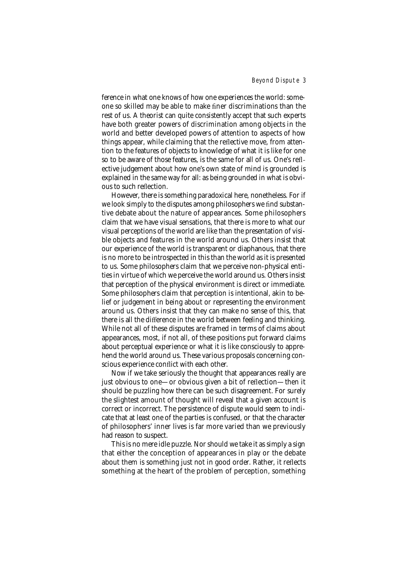ference in what one knows of how one experiences the world: someone so skilled may be able to make finer discriminations than the rest of us. A theorist can quite consistently accept that such experts have both greater powers of discrimination among objects in the world and better developed powers of attention to aspects of how things appear, while claiming that the reflective move, from attention to the features of objects to knowledge of what it is like for one so to be aware of those features, is the same for all of us. One's reflective judgement about how one's own state of mind is grounded is explained in the same way for all: as being grounded in what is obvious to such reflection.

However, there is something paradoxical here, nonetheless. For if we look simply to the disputes among philosophers we find substantive debate about the nature of appearances. Some philosophers claim that we have visual sensations, that there is more to what our visual perceptions of the world are like than the presentation of visible objects and features in the world around us. Others insist that our experience of the world is transparent or diaphanous, that there is no more to be introspected in this than the world as it is presented to us. Some philosophers claim that we perceive non-physical entities in virtue of which we perceive the world around us. Others insist that perception of the physical environment is direct or immediate. Some philosophers claim that perception is intentional, akin to belief or judgement in being about or representing the environment around us. Others insist that they can make no sense of this, that there is all the difference in the world between feeling and thinking. While not all of these disputes are framed in terms of claims about appearances, most, if not all, of these positions put forward claims about perceptual experience or what it is like consciously to apprehend the world around us. These various proposals concerning conscious experience conflict with each other.

Now if we take seriously the thought that appearances really are just obvious to one—or obvious given a bit of reflection—then it should be puzzling how there can be such disagreement. For surely the slightest amount of thought will reveal that a given account is correct or incorrect. The persistence of dispute would seem to indicate that at least one of the parties is confused, or that the character of philosophers' inner lives is far more varied than we previously had reason to suspect.

This is no mere idle puzzle. Nor should we take it as simply a sign that either the conception of appearances in play or the debate about them is something just not in good order. Rather, it reflects something at the heart of the problem of perception, something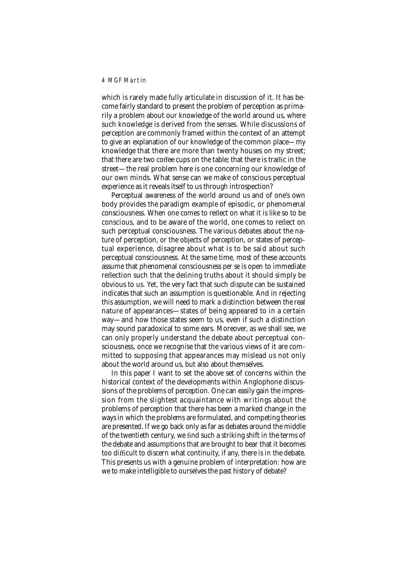which is rarely made fully articulate in discussion of it. It has become fairly standard to present the problem of perception as primarily a problem about our knowledge of the world around us, where such knowledge is derived from the senses. While discussions of perception are commonly framed within the context of an attempt to give an explanation of our knowledge of the common place—my knowledge that there are more than twenty houses on my street; that there are two coffee cups on the table; that there is traffic in the street—the real problem here is one concerning our knowledge of our own minds. What sense can we make of conscious perceptual experience as it reveals itself to us through introspection?

Perceptual awareness of the world around us and of one's own body provides the paradigm example of episodic, or phenomenal consciousness. When one comes to reflect on what it is like so to be conscious, and to be aware of the world, one comes to reflect on such perceptual consciousness. The various debates about the nature of perception, or the objects of perception, or states of perceptual experience, disagree about what is to be said about such perceptual consciousness. At the same time, most of these accounts assume that phenomenal consciousness *per se* is open to immediate reflection such that the defining truths about it should simply be obvious to us. Yet, the very fact that such dispute can be sustained indicates that such an assumption is questionable. And in rejecting this assumption, we will need to mark a distinction between the real nature of appearances—states of being appeared to in a certain way—and how those states seem to us, even if such a distinction may sound paradoxical to some ears. Moreover, as we shall see, we can only properly understand the debate about perceptual consciousness, once we recognise that the various views of it are committed to supposing that appearances may mislead us not only about the world around us, but also about themselves.

In this paper I want to set the above set of concerns within the historical context of the developments within Anglophone discussions of the problems of perception. One can easily gain the impression from the slightest acquaintance with writings about the problems of perception that there has been a marked change in the ways in which the problems are formulated, and competing theories are presented. If we go back only as far as debates around the middle of the twentieth century, we find such a striking shift in the terms of the debate and assumptions that are brought to bear that it becomes too difficult to discern what continuity, if any, there is in the debate. This presents us with a genuine problem of interpretation: how are we to make intelligible to ourselves the past history of debate?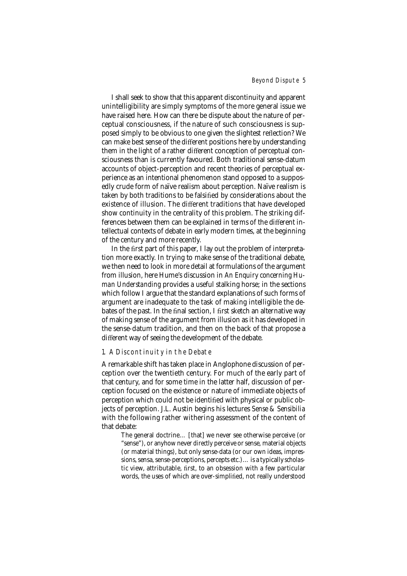I shall seek to show that this apparent discontinuity and apparent unintelligibility are simply symptoms of the more general issue we have raised here. How can there be dispute about the nature of perceptual consciousness, if the nature of such consciousness is supposed simply to be obvious to one given the slightest reflection? We can make best sense of the different positions here by understanding them in the light of a rather different conception of perceptual consciousness than is currently favoured. Both traditional sense-datum accounts of object-perception and recent theories of perceptual experience as an intentional phenomenon stand opposed to a supposedly crude form of naïve realism about perception. Naïve realism is taken by both traditions to be falsified by considerations about the existence of illusion. The different traditions that have developed show continuity in the centrality of this problem. The striking differences between them can be explained in terms of the different intellectual contexts of debate in early modern times, at the beginning of the century and more recently.

In the first part of this paper, I lay out the problem of interpretation more exactly. In trying to make sense of the traditional debate, we then need to look in more detail at formulations of the argument from illusion, here Hume's discussion in *An Enquiry concerning Human Understanding* provides a useful stalking horse; in the sections which follow I argue that the standard explanations of such forms of argument are inadequate to the task of making intelligible the debates of the past. In the final section, I first sketch an alternative way of making sense of the argument from illusion as it has developed in the sense-datum tradition, and then on the back of that propose a different way of seeing the development of the debate.

#### 1. A Discontinuity in the Debate

A remarkable shift has taken place in Anglophone discussion of perception over the twentieth century. For much of the early part of that century, and for some time in the latter half, discussion of perception focused on the existence or nature of immediate objects of perception which could not be identified with physical or public objects of perception. J.L. Austin begins his lectures *Sense & Sensibilia* with the following rather withering assessment of the content of that debate:

The general doctrine… [that] we never see otherwise perceive (or "sense"), or anyhow never *directly* perceive or sense, material objects (or material things), but only sense-data (or our own ideas, impressions, sensa, sense-perceptions, percepts etc.)… is a typically *scholastic* view, attributable, first, to an obsession with a few particular words, the uses of which are over-simplified, not really understood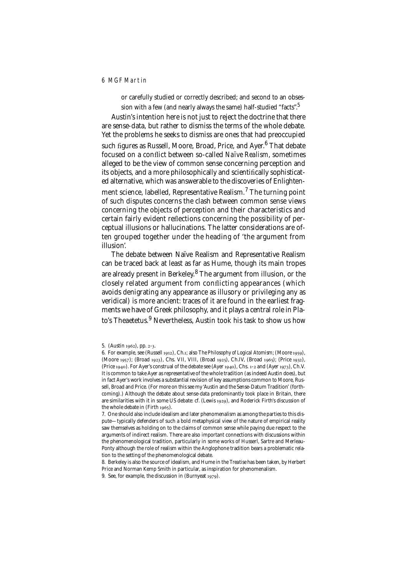or carefully studied or correctly described; and second to an obsession with a few (and nearly always the same) half-studied "facts".<sup>5</sup>

Austin's intention here is not just to reject the doctrine that there are sense-data, but rather to dismiss the terms of the whole debate. Yet the problems he seeks to dismiss are ones that had preoccupied such figures as Russell, Moore, Broad, Price, and Ayer.<sup>6</sup> That debate focused on a conflict between so-called *Naïve Realism*, sometimes alleged to be the view of common sense concerning perception and its objects, and a more philosophically and scientifically sophisticated alternative, which was answerable to the discoveries of Enlightenment science, labelled, Representative Realism. $^7$  The turning point of such disputes concerns the clash between common sense views concerning the objects of perception and their characteristics and certain fairly evident reflections concerning the possibility of perceptual illusions or hallucinations. The latter considerations are often grouped together under the heading of 'the argument from illusion'.

The debate between Naïve Realism and Representative Realism can be traced back at least as far as Hume, though its main tropes are already present in Berkeley.<sup>8</sup> The argument from illusion, or the closely related argument from conflicting appearances (which avoids denigrating any appearance as illusory or privileging any as veridical) is more ancient: traces of it are found in the earliest fragments we have of Greek philosophy, and it plays a central role in Plato's Theaetetus.<sup>9</sup> Nevertheless, Austin took his task to show us how

9. See, for example, the discussion in  $(Burnyeat 1979)$ .

<sup>5. (</sup>Austin 1962), pp. 2-3.

<sup>6.</sup> For example, see (Russell 1912), Ch.1; also *The Philosophy of Logical Atomism*; (Moore 1959), (Moore 1957); (Broad 1923), Chs. VII, VIII, (Broad 1925), Ch.IV, (Broad 1965); (Price 1932), (Price 1940). For Ayer's construal of the debate see (Ayer 1940), Chs. 1-2 and (Ayer 1973), Ch.V. It is common to take Ayer as representative of the whole tradition (as indeed Austin does), but in fact Ayer's work involves a substantial revision of key assumptions common to Moore, Russell, Broad and Price. (For more on this see my 'Austin and the Sense-Datum Tradition' (forthcoming).) Although the debate about sense-data predominantly took place in Britain, there are similarities with it in some US debate: cf. (Lewis 1929), and Roderick Firth's discussion of the whole debate in (Firth  $1965$ ).

<sup>7.</sup> One should also include idealism and later phenomenalism as among the parties to this dispute—typically defenders of such a bold metaphysical view of the nature of empirical reality saw themselves as holding on to the claims of common sense while paying due respect to the arguments of indirect realism. There are also important connections with discussions within the phenomenological tradition, particularly in some works of Husserl, Sartre and Merleau-Ponty although the role of realism within the Anglophone tradition bears a problematic relation to the setting of the phenomenological debate.

<sup>8.</sup> Berkeley is also the source of idealism, and Hume in the *Treatise* has been taken, by Herbert Price and Norman Kemp Smith in particular, as inspiration for phenomenalism.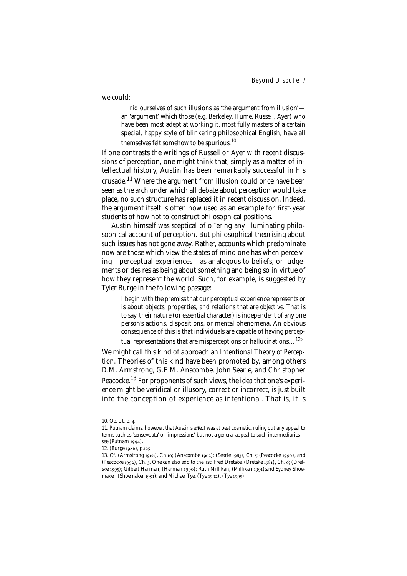we could:

… rid ourselves of such illusions as 'the argument from illusion' an 'argument' which those (e.g. Berkeley, Hume, Russell, Ayer) who have been most adept at working it, most fully masters of a certain special, happy style of blinkering philosophical English, have all themselves felt somehow to be spurious.10

If one contrasts the writings of Russell or Ayer with recent discussions of perception, one might think that, simply as a matter of intellectual history, Austin has been remarkably successful in his crusade.<sup>11</sup> Where the argument from illusion could once have been seen as the arch under which all debate about perception would take place, no such structure has replaced it in recent discussion. Indeed, the argument itself is often now used as an example for first-year students of how not to construct philosophical positions.

Austin himself was sceptical of offering any illuminating philosophical account of perception. But philosophical theorising about such issues has not gone away. Rather, accounts which predominate now are those which view the states of mind one has when perceiving—perceptual experiences—as analogous to beliefs, or judgements or desires as being about something and being so in virtue of how they represent the world. Such, for example, is suggested by Tyler Burge in the following passage:

I begin with the premiss that our perceptual experience represents or is about objects, properties, and relations that are *objective*. That is to say, their nature (or essential character) is independent of any one person's actions, dispositions, or mental phenomena. An obvious consequence of this is that individuals are capable of having perceptual representations that are misperceptions or hallucinations...<sup>122</sup>

We might call this kind of approach an *Intentional Theory of Perception*. Theories of this kind have been promoted by, among others D.M. Armstrong, G.E.M. Anscombe, John Searle, and Christopher Peacocke.13 For proponents of such views, the idea that one's experience might be veridical or illusory, correct or incorrect, is just built into the conception of experience as intentional. That is, it is

<sup>10.</sup> *Op. cit.* p. 4.

<sup>11.</sup> Putnam claims, however, that Austin's effect was at best cosmetic, ruling out any appeal to terms such as 'sense=data' or 'impressions' but not a general appeal to such intermediaries see (Putnam 1994).

<sup>12. (</sup>Burge 1986), p.125.

<sup>13.</sup> Cf. (Armstrong 1968), Ch.10; (Anscombe 1962); (Searle 1983), Ch.2; (Peacocke 1990), and (Peacocke 1992), Ch. 3. One can also add to the list: Fred Dretske, (Dretske 1981), Ch.  $6$ ; (Dretske 1995); Gilbert Harman, (Harman 1990); Ruth Millikan, (Millikan 1991); and Sydney Shoemaker, (Shoemaker 1991); and Michael Tye, (Tye 1992), (Tye 1995).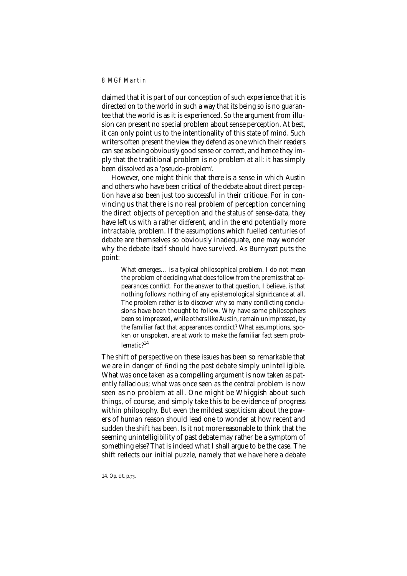claimed that it is part of our conception of such experience that it is directed on to the world in such a way that its being so is no guarantee that the world is as it is experienced. So the argument from illusion can present no special problem about sense perception. At best, it can only point us to the intentionality of this state of mind. Such writers often present the view they defend as one which their readers can see as being obviously good sense or correct, and hence they imply that the traditional problem is no problem at all: it has simply been dissolved as a 'pseudo-problem'.

However, one might think that there is a sense in which Austin and others who have been critical of the debate about direct perception have also been just too successful in their critique. For in convincing us that there is no real problem of perception concerning the direct objects of perception and the status of sense-data, they have left us with a rather different, and in the end potentially more intractable, problem. If the assumptions which fuelled centuries of debate are themselves so obviously inadequate, one may wonder why the debate itself should have survived. As Burnyeat puts the point:

What emerges… is a typical philosophical problem. I do not mean the problem of deciding what does follow from the premiss that appearances conflict. For the answer to that question, I believe, is that nothing follows: nothing of any epistemological significance at all. The problem rather is to discover why so many conflicting conclusions have been thought to follow. Why have some philosophers been so impressed, while others like Austin, remain unimpressed, by the familiar fact that appearances conflict? What assumptions, spoken or unspoken, are at work to make the familiar fact seem problematic?<sup>14</sup>

The shift of perspective on these issues has been so remarkable that we are in danger of finding the past debate simply unintelligible. What was once taken as a compelling argument is now taken as patently fallacious; what was once seen as the central problem is now seen as no problem at all. One might be Whiggish about such things, of course, and simply take this to be evidence of progress within philosophy. But even the mildest scepticism about the powers of human reason should lead one to wonder at how recent and sudden the shift has been. Is it not more reasonable to think that the seeming unintelligibility of past debate may rather be a symptom of something else? That is indeed what I shall argue to be the case. The shift reflects our initial puzzle, namely that we have here a debate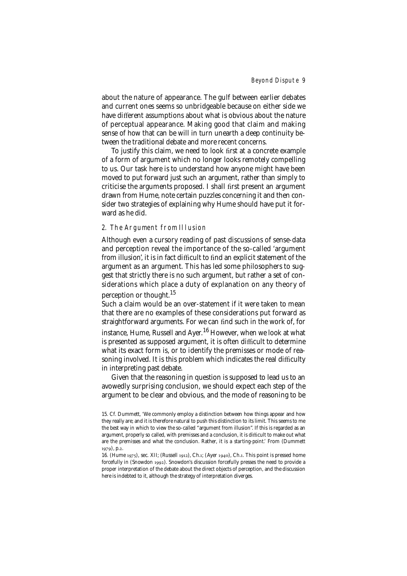about the nature of appearance. The gulf between earlier debates and current ones seems so unbridgeable because on either side we have different assumptions about what is obvious about the nature of perceptual appearance. Making good that claim and making sense of how that can be will in turn unearth a deep continuity between the traditional debate and more recent concerns.

To justify this claim, we need to look first at a concrete example of a form of argument which no longer looks remotely compelling to us. Our task here is to understand how anyone might have been moved to put forward just such an argument, rather than simply to criticise the arguments proposed. I shall first present an argument drawn from Hume, note certain puzzles concerning it and then consider two strategies of explaining why Hume should have put it forward as he did.

# 2. The Argument from Illusion

Although even a cursory reading of past discussions of sense-data and perception reveal the importance of the so-called 'argument from illusion', it is in fact difficult to find an explicit statement of the argument as an argument. This has led some philosophers to suggest that strictly there is no such argument, but rather a set of considerations which place a duty of explanation on any theory of perception or thought.<sup>15</sup>

Such a claim would be an over-statement if it were taken to mean that there are no examples of these considerations put forward as straightforward arguments. For we can find such in the work of, for instance, Hume, Russell and Ayer.<sup>16</sup> However, when we look at what is presented as supposed argument, it is often difficult to determine what its exact form is, or to identify the premisses or mode of reasoning involved. It is this problem which indicates the real difficulty in interpreting past debate.

Given that the reasoning in question is supposed to lead us to an avowedly surprising conclusion, we should expect each step of the argument to be clear and obvious, and the mode of reasoning to be

<sup>15.</sup> Cf. Dummett, 'We commonly employ a distinction between how things appear and how they really are; and it is therefore natural to push this distinction to its limit. This seems to me the best way in which to view the so-called "argument from illusion". If this is regarded as an argument, properly so called, with premisses and a conclusion, it is difficult to make out what are the premisses and what the conclusion. Rather, it is a *starting-point*.' From (Dummett 1979), p.2.

<sup>16. (</sup>Hume 1975), sec. XII; (Russell 1912), Ch.1; (Ayer 1940), Ch.1. This point is pressed home forcefully in (Snowdon 1992). Snowdon's discussion forcefully presses the need to provide a proper interpretation of the debate about the direct objects of perception, and the discussion here is indebted to it, although the strategy of interpretation diverges.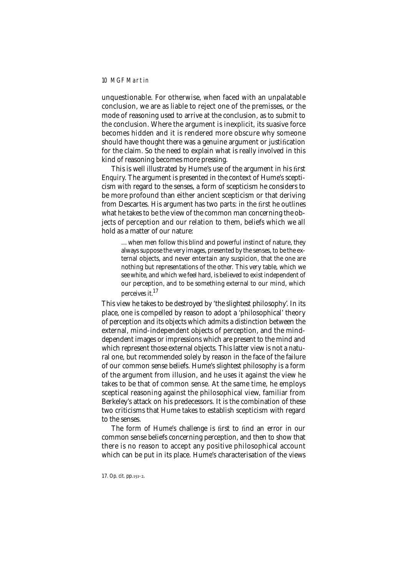unquestionable. For otherwise, when faced with an unpalatable conclusion, we are as liable to reject one of the premisses, or the mode of reasoning used to arrive at the conclusion, as to submit to the conclusion. Where the argument is inexplicit, its suasive force becomes hidden and it is rendered more obscure why someone should have thought there was a genuine argument or justification for the claim. So the need to explain what is really involved in this kind of reasoning becomes more pressing.

This is well illustrated by Hume's use of the argument in his first *Enquiry*. The argument is presented in the context of Hume's scepticism with regard to the senses, a form of scepticism he considers to be more profound than either ancient scepticism or that deriving from Descartes. His argument has two parts: in the first he outlines what he takes to be the view of the common man concerning the objects of perception and our relation to them, beliefs which we all hold as a matter of our nature:

…when men follow this blind and powerful instinct of nature, they always suppose the very images, presented by the senses, to be the external objects, and never entertain any suspicion, that the one are nothing but representations of the other. This very table, which we see white, and which we feel hard, is believed to exist independent of our perception, and to be something external to our mind, which perceives it.17

This view he takes to be destroyed by 'the slightest philosophy'. In its place, one is compelled by reason to adopt a 'philosophical' theory of perception and its objects which admits a distinction between the external, mind-independent objects of perception, and the minddependent images or impressions which are present to the mind and which represent those external objects. This latter view is not a natural one, but recommended solely by reason in the face of the failure of our common sense beliefs. Hume's slightest philosophy is a form of the argument from illusion, and he uses it against the view he takes to be that of common sense. At the same time, he employs sceptical reasoning against the philosophical view, familiar from Berkeley's attack on his predecessors. It is the combination of these two criticisms that Hume takes to establish scepticism with regard to the senses.

The form of Hume's challenge is first to find an error in our common sense beliefs concerning perception, and then to show that there is no reason to accept any positive philosophical account which can be put in its place. Hume's characterisation of the views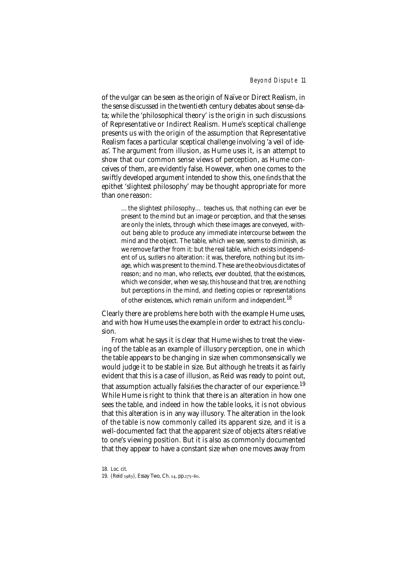of the vulgar can be seen as the origin of Naïve or Direct Realism, in the sense discussed in the twentieth century debates about sense-data; while the 'philosophical theory' is the origin in such discussions of Representative or Indirect Realism. Hume's sceptical challenge presents us with the origin of the assumption that Representative Realism faces a particular sceptical challenge involving 'a veil of ideas'. The argument from illusion, as Hume uses it, is an attempt to show that our common sense views of perception, as Hume conceives of them, are evidently false. However, when one comes to the swiftly developed argument intended to show this, one finds that the epithet 'slightest philosophy' may be thought appropriate for more than one reason:

…the slightest philosophy… teaches us, that nothing can ever be present to the mind but an image or perception, and that the senses are only the inlets, through which these images are conveyed, without being able to produce any immediate intercourse between the mind and the object. The table, which we see, seems to diminish, as we remove farther from it: but the real table, which exists independent of us, suffers no alteration: it was, therefore, nothing but its image, which was present to the mind. These are the obvious dictates of reason; and no man, who reflects, ever doubted, that the existences, which we consider, when we say, *this house* and *that tree*, are nothing but perceptions in the mind, and fleeting copies or representations of other existences, which remain uniform and independent.<sup>18</sup>

Clearly there are problems here both with the example Hume uses, and with how Hume uses the example in order to extract his conclusion.

From what he says it is clear that Hume wishes to treat the viewing of the table as an example of illusory perception, one in which the table appears to be changing in size when commonsensically we would judge it to be stable in size. But although he treats it as fairly evident that this is a case of illusion, as Reid was ready to point out, that assumption actually falsifies the character of our experience.<sup>19</sup> While Hume is right to think that there is an alteration in how one sees the table, and indeed in how the table looks, it is not obvious that this alteration is in any way illusory. The alteration in the look of the table is now commonly called its apparent size, and it is a well-documented fact that the apparent size of objects alters relative to one's viewing position. But it is also as commonly documented that they appear to have a constant size when one moves away from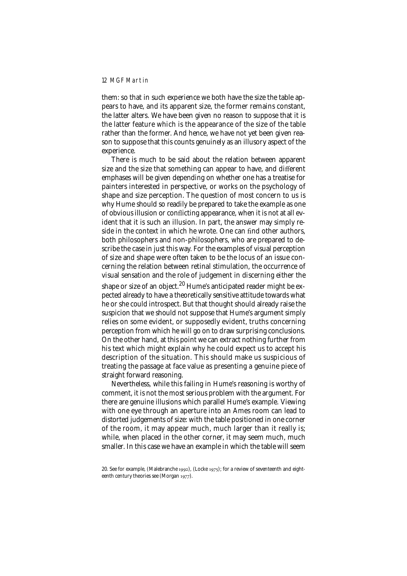them: so that in such experience we both have the size the table appears to have, and its apparent size, the former remains constant, the latter alters. We have been given no reason to suppose that it is the latter feature which is the appearance of the size of the table rather than the former. And hence, we have not yet been given reason to suppose that this counts genuinely as an illusory aspect of the experience.

There is much to be said about the relation between apparent size and the size that something can appear to have, and different emphases will be given depending on whether one has a treatise for painters interested in perspective, or works on the psychology of shape and size perception. The question of most concern to us is why Hume should so readily be prepared to take the example as one of obvious illusion or conflicting appearance, when it is not at all evident that it is such an illusion. In part, the answer may simply reside in the context in which he wrote. One can find other authors, both philosophers and non-philosophers, who are prepared to describe the case in just this way. For the examples of visual perception of size and shape were often taken to be the locus of an issue concerning the relation between retinal stimulation, the occurrence of visual sensation and the role of judgement in discerning either the shape or size of an object.<sup>20</sup> Hume's anticipated reader might be expected already to have a theoretically sensitive attitude towards what he or she could introspect. But that thought should already raise the suspicion that we should not suppose that Hume's argument simply relies on some evident, or supposedly evident, truths concerning perception from which he will go on to draw surprising conclusions. On the other hand, at this point we can extract nothing further from his text which might explain why he could expect us to accept his description of the situation. This should make us suspicious of treating the passage at face value as presenting a genuine piece of straight forward reasoning.

Nevertheless, while this failing in Hume's reasoning is worthy of comment, it is not the most serious problem with the argument. For there are genuine illusions which parallel Hume's example. Viewing with one eye through an aperture into an Ames room can lead to distorted judgements of size: with the table positioned in one corner of the room, it may appear much, much larger than it really is; while, when placed in the other corner, it may seem much, much smaller. In this case we have an example in which the table will seem

<sup>20.</sup> See for example, (Malebranche 1992), (Locke 1975); for a review of seventeenth and eighteenth century theories see (Morgan 1977).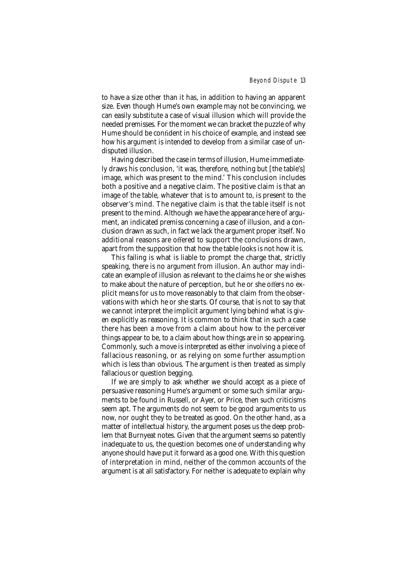to have a size other than it has, in addition to having an apparent size. Even though Hume's own example may not be convincing, we can easily substitute a case of visual illusion which will provide the needed premisses. For the moment we can bracket the puzzle of why Hume should be confident in his choice of example, and instead see how his argument is intended to develop from a similar case of undisputed illusion.

Having described the case in terms of illusion, Hume immediately draws his conclusion, 'it was, therefore, nothing but [the table's] image, which was present to the mind.' This conclusion includes both a positive and a negative claim. The positive claim is that an image of the table, whatever that is to amount to, is present to the observer's mind. The negative claim is that the table itself is not present to the mind. Although we have the appearance here of argument, an indicated premiss concerning a case of illusion, and a conclusion drawn as such, in fact we lack the argument proper itself. No additional reasons are offered to support the conclusions drawn, apart from the supposition that how the table looks is not how it is.

This failing is what is liable to prompt the charge that, strictly speaking, there is no *argument* from illusion. An author may indicate an example of illusion as relevant to the claims he or she wishes to make about the nature of perception, but he or she offers no explicit means for us to move reasonably to that claim from the observations with which he or she starts. Of course, that is not to say that we cannot interpret the implicit argument lying behind what is given explicitly as reasoning. It is common to think that in such a case there has been a move from a claim about how to the perceiver things appear to be, to a claim about how things are in so appearing. Commonly, such a move is interpreted as either involving a piece of fallacious reasoning, or as relying on some further assumption which is less than obvious. The argument is then treated as simply fallacious or question begging.

If we are simply to ask whether we should accept as a piece of persuasive reasoning Hume's argument or some such similar arguments to be found in Russell, or Ayer, or Price, then such criticisms seem apt. The arguments do not seem to be good arguments to us now, nor ought they to be treated as good. On the other hand, as a matter of intellectual history, the argument poses us the deep problem that Burnyeat notes. Given that the argument seems so patently inadequate to us, the question becomes one of understanding why anyone should have put it forward as a good one. With this question of interpretation in mind, neither of the common accounts of the argument is at all satisfactory. For neither is adequate to explain why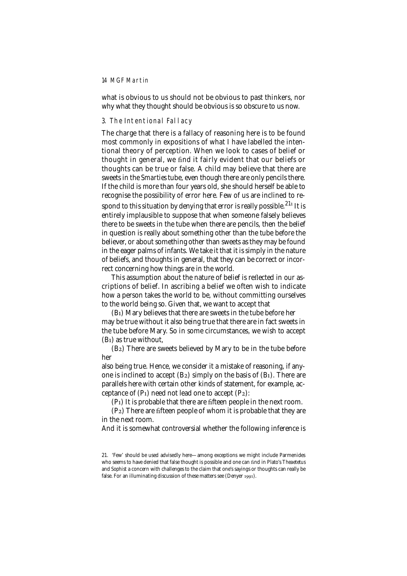## 14 MGF Martin

what is obvious to us should not be obvious to past thinkers, nor why what they thought should be obvious is so obscure to us now.

## 3. The Intentional Fallacy

The charge that there is a fallacy of reasoning here is to be found most commonly in expositions of what I have labelled the intentional theory of perception. When we look to cases of belief or thought in general, we find it fairly evident that our beliefs or thoughts can be true or false. A child may believe that there are sweets in the *Smarties* tube, even though there are only pencils there. If the child is more than four years old, she should herself be able to recognise the possibility of error here. Few of us are inclined to respond to this situation by denying that error is really possible. $^{21_1}\rm{It}$  is entirely implausible to suppose that when someone falsely believes there to be sweets in the tube when there are pencils, then the belief in question is really about something other than the tube before the believer, or about something other than sweets as they may be found in the eager palms of infants. We take it that it is simply in the nature of beliefs, and thoughts in general, that they can be correct or incorrect concerning how things are in the world.

This assumption about the nature of belief is reflected in our ascriptions of belief. In ascribing a belief we often wish to indicate how a person takes the world to be, without committing ourselves to the world being so. Given that, we want to accept that

(B) Mary believes that there are sweets in the tube before her may be true without it also being true that there are in fact sweets in the tube before Mary. So in some circumstances, we wish to accept  $(B_1)$  as true without,

(B<sub>2</sub>) There are sweets believed by Mary to be in the tube before her

also being true. Hence, we consider it a mistake of reasoning, if anyone is inclined to accept  $(B_2)$  simply on the basis of  $(B_1)$ . There are parallels here with certain other kinds of statement, for example, acceptance of  $(P_1)$  need not lead one to accept  $(P_2)$ :

(P<sub>1</sub>) It is probable that there are fifteen people in the next room.

 $(P<sub>2</sub>)$  There are fifteen people of whom it is probable that they are in the next room.

And it is somewhat controversial whether the following inference is

<sup>21. &#</sup>x27;Few' should be used advisedly here—among exceptions we might include Parmenides who seems to have denied that false thought is possible and one can find in Plato's *Theaetetus* and *Sophist* a concern with challenges to the claim that one's sayings or thoughts can really be false. For an illuminating discussion of these matters see (Denyer 1991).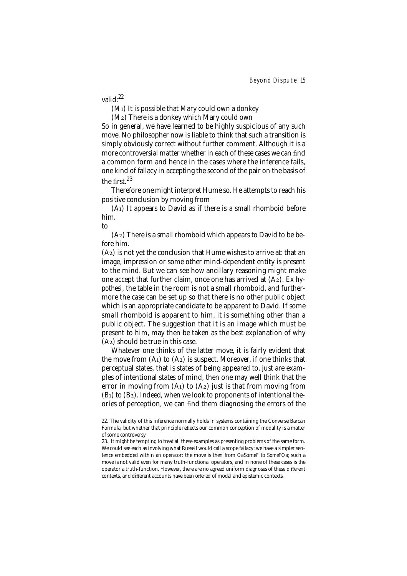valid:<sup>22</sup>

 $(M<sub>1</sub>)$  It is possible that Mary could own a donkey

 $(M<sub>2</sub>)$  There is a donkey which Mary could own

So in general, we have learned to be highly suspicious of any such move. No philosopher now is liable to think that such a transition is simply obviously correct without further comment. Although it is a more controversial matter whether in each of these cases we can find a common form and hence in the cases where the inference fails, one kind of fallacy in accepting the second of the pair on the basis of the first.<sup>23</sup>

Therefore one might interpret Hume so. He attempts to reach his positive conclusion by moving from

(A) It appears to David as if there is a small rhomboid before him.

to

 $(A<sub>2</sub>)$  There is a small rhomboid which appears to David to be before him.

(A<sub>2</sub>) is not yet the conclusion that Hume wishes to arrive at: that an image, impression or some other mind-dependent entity is present to the mind. But we can see how ancillary reasoning might make one accept that further claim, once one has arrived at (A2). *Ex hypothesi*, the table in the room is not a small rhomboid, and furthermore the case can be set up so that there is no other public object which is an appropriate candidate to be apparent to David. If some small rhomboid is apparent to him, it is something other than a public object. The suggestion that it is an image which must be present to him, may then be taken as the best explanation of why  $(A<sub>2</sub>)$  should be true in this case.

Whatever one thinks of the latter move, it is fairly evident that the move from  $(A_1)$  to  $(A_2)$  is suspect. Moreover, if one thinks that perceptual states, that is states of being appeared to, just are examples of intentional states of mind, then one may well think that the error in moving from  $(A_1)$  to  $(A_2)$  just is that from moving from  $(B<sub>1</sub>)$  to  $(B<sub>2</sub>)$ . Indeed, when we look to proponents of intentional theories of perception, we can find them diagnosing the errors of the

<sup>22.</sup> The validity of this inference normally holds in systems containing the Converse Barcan Formula, but whether that principle reflects our common conception of modality is a matter of some controversy.

<sup>23.</sup> It might be tempting to treat all these examples as presenting problems of the same form. We could see each as involving what Russell would call a scope fallacy: we have a simpler sentence embedded within an operator: the move is then from *Oa*Some*F* to *SomeFOa*; such a move is not valid even for many truth-functional operators, and in none of these cases is the operator a truth-function. However, there are no agreed uniform diagnoses of these different contexts, and different accounts have been offered of modal and epistemic contexts.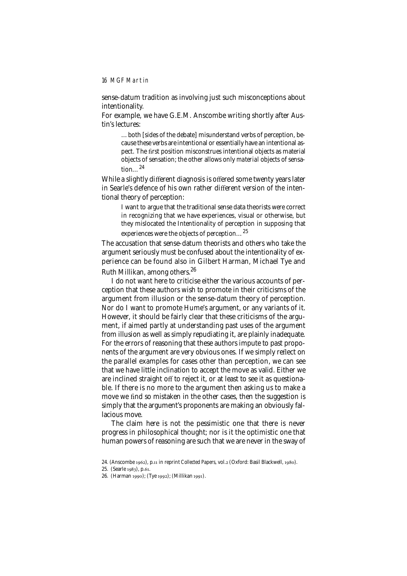sense-datum tradition as involving just such misconceptions about intentionality.

For example, we have G.E.M. Anscombe writing shortly after Austin's lectures:

…both [sides of the debate] misunderstand verbs of perception, because these verbs are intentional or essentially have an intentional aspect. The first position misconstrues intentional objects as material objects of sensation; the other allows only *material* objects of sensation $\ldots$ <sup>24</sup>

While a slightly different diagnosis is offered some twenty years later in Searle's defence of his own rather different version of the intentional theory of perception:

I want to argue that the traditional sense data theorists were correct in recognizing that we have experiences, visual or otherwise, but they mislocated the Intentionality of perception in supposing that experiences were the objects of perception…<sup>25</sup>

The accusation that sense-datum theorists and others who take the argument seriously must be confused about the intentionality of experience can be found also in Gilbert Harman, Michael Tye and Ruth Millikan, among others.<sup>26</sup>

I do not want here to criticise either the various accounts of perception that these authors wish to promote in their criticisms of the argument from illusion or the sense-datum theory of perception. Nor do I want to promote Hume's argument, or any variants of it. However, it should be fairly clear that these criticisms of the argument, if aimed partly at understanding past uses of the argument from illusion as well as simply repudiating it, are plainly inadequate. For the errors of reasoning that these authors impute to past proponents of the argument are very obvious ones. If we simply reflect on the parallel examples for cases other than perception, we can see that we have little inclination to accept the move as valid. Either we are inclined straight off to reject it, or at least to see it as questionable. If there is no more to the argument then asking us to make a move we find so mistaken in the other cases, then the suggestion is simply that the argument's proponents are making an obviously fallacious move.

The claim here is not the pessimistic one that there is never progress in philosophical thought; nor is it the optimistic one that human powers of reasoning are such that we are never in the sway of

<sup>24. (</sup>Anscombe 1962), p.11 in reprint *Collected Papers*, vol.2 (Oxford: Basil Blackwell, 1980).

<sup>25. (</sup>Searle 1983), p.61.

<sup>26. (</sup>Harman 1990); (Tye 1992); (Millikan 1991).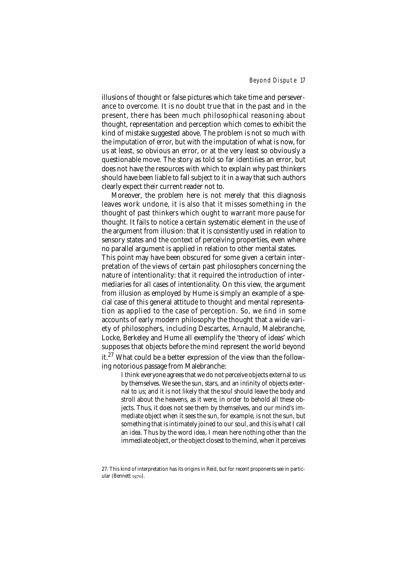illusions of thought or false pictures which take time and perseverance to overcome. It is no doubt true that in the past and in the present, there has been much philosophical reasoning about thought, representation and perception which comes to exhibit the kind of mistake suggested above. The problem is not so much with the imputation of error, but with the imputation of what is now, for us at least, so obvious an error, or at the very least so obviously a questionable move. The story as told so far identifies an error, but does not have the resources with which to explain why past thinkers should have been liable to fall subject to it in a way that such authors clearly expect their current reader not to.

Moreover, the problem here is not merely that this diagnosis leaves work undone, it is also that it misses something in the thought of past thinkers which ought to warrant more pause for thought. It fails to notice a certain systematic element in the use of the argument from illusion: that it is consistently used in relation to sensory states and the context of perceiving properties, even where no parallel argument is applied in relation to other mental states.

This point may have been obscured for some given a certain interpretation of the views of certain past philosophers concerning the nature of intentionality: that it required the introduction of intermediaries for all cases of intentionality. On this view, the argument from illusion as employed by Hume is simply an example of a special case of this general attitude to thought and mental representation as applied to the case of perception. So, we find in some accounts of early modern philosophy the thought that a wide variety of philosophers, including Descartes, Arnauld, Malebranche, Locke, Berkeley and Hume all exemplify the 'theory of ideas' which supposes that objects before the mind represent the world beyond it.27 What could be a better expression of the view than the follow-

ing notorious passage from Malebranche: I think everyone agrees that we do not perceive objects external to us

by themselves. We see the sun, stars, and an infinity of objects external to us; and it is not likely that the soul should leave the body and stroll about the heavens, as it were, in order to behold all these objects. Thus, it does not see them by themselves, and our mind's immediate object when it sees the sun, for example, is not the sun, but something that is intimately joined to our soul, and this is what I call an *idea*. Thus by the word *idea*, I mean here nothing other than the immediate object, or the object closest to the mind, when it perceives

27. This kind of interpretation has its origins in Reid, but for recent proponents see in particular (Bennett 1970).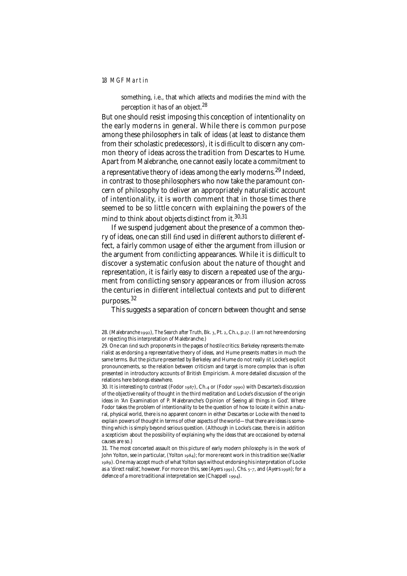something, i.e., that which affects and modifies the mind with the perception it has of an object.<sup>28</sup>

But one should resist imposing this conception of intentionality on the early moderns in general. While there is common purpose among these philosophers in talk of ideas (at least to distance them from their scholastic predecessors), it is difficult to discern any common theory of ideas across the tradition from Descartes to Hume. Apart from Malebranche, one cannot easily locate a commitment to a representative theory of ideas among the early moderns.29 Indeed, in contrast to those philosophers who now take the paramount concern of philosophy to deliver an appropriately naturalistic account of intentionality, it is worth comment that in those times there seemed to be so little concern with explaining the powers of the mind to think about objects distinct from it.30,31

If we suspend judgement about the presence of a common theory of ideas, one can still find used in different authors to different effect, a fairly common usage of either the argument from illusion or the argument from conflicting appearances. While it is difficult to discover a systematic confusion about the nature of thought and representation, it is fairly easy to discern a repeated use of the argument from conflicting sensory appearances or from illusion across the centuries in different intellectual contexts and put to different purposes.<sup>32</sup>

This suggests a separation of concern between thought and sense

29. One can find such proponents in the pages of hostile critics: Berkeley represents the materialist as endorsing a representative theory of ideas, and Hume presents matters in much the same terms. But the picture presented by Berkeley and Hume do not really fit Locke's explicit pronouncements, so the relation between criticism and target is more complex than is often presented in introductory accounts of British Empiricism. A more detailed discussion of the relations here belongs elsewhere.

30. It is interesting to contrast (Fodor 1987), Ch.4 or (Fodor 1990) with Descartes's discussion of the objective reality of thought in the third meditation and Locke's discussion of the origin ideas in 'An Examination of P. Malebranche's Opinion of Seeing all things in God'. Where Fodor takes *the* problem of intentionality to be the question of how to locate it within a natural, physical world, there is no apparent concern in either Descartes or Locke with the need to explain powers of thought in terms of other aspects of the world—that there are ideas is something which is simply beyond serious question. (Although in Locke's case, there is in addition a scepticism about the possibility of explaining why the ideas that are occasioned by external causes are so.)

31. The most concerted assault on this picture of early modern philosophy is in the work of John Yolton, see in particular, (Yolton 1984); for more recent work in this tradition see (Nadler ). One may accept much of what Yolton says without endorsing his interpretation of Locke as a 'direct realist', however. For more on this, see (Ayers 1991), Chs. 5-7, and (Ayers 1998); for a defence of a more traditional interpretation see (Chappell 1994).

<sup>28. (</sup>Malebranche 1992), *The Search after Truth*, Bk. 3, Pt. 2, Ch.1, p.27. (I am not here endorsing or rejecting this interpretation of Malebranche.)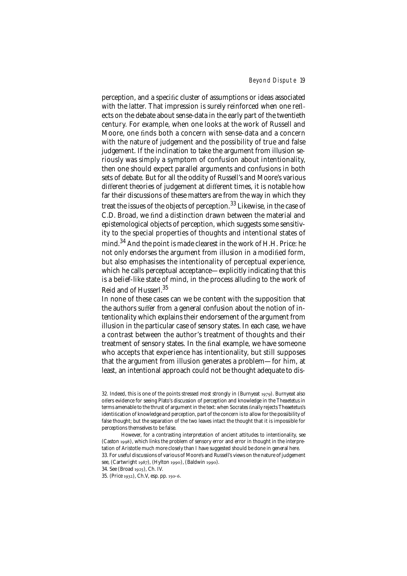perception, and a specific cluster of assumptions or ideas associated with the latter. That impression is surely reinforced when one reflects on the debate about sense-data in the early part of the twentieth century. For example, when one looks at the work of Russell and Moore, one finds both a concern with sense-data and a concern with the nature of judgement and the possibility of true and false judgement. If the inclination to take the argument from illusion seriously was simply a symptom of confusion about intentionality, then one should expect parallel arguments and confusions in both sets of debate. But for all the oddity of Russell's and Moore's various different theories of judgement at different times, it is notable how far their discussions of these matters are from the way in which they treat the issues of the objects of perception.33 Likewise, in the case of C.D. Broad, we find a distinction drawn between the material and epistemological objects of perception, which suggests some sensitivity to the special properties of thoughts and intentional states of mind.34 And the point is made clearest in the work of H.H. Price: he not only endorses the argument from illusion in a modified form, but also emphasises the intentionality of perceptual experience, which he calls perceptual acceptance—explicitly indicating that this is a belief-like state of mind, in the process alluding to the work of Reid and of Husserl.<sup>35</sup>

In none of these cases can we be content with the supposition that the authors suffer from a general confusion about the notion of intentionality which explains their endorsement of the argument from illusion in the particular case of sensory states. In each case, we have a contrast between the author's treatment of thoughts and their treatment of sensory states. In the final example, we have someone who accepts that experience has intentionality, but still supposes that the argument from illusion generates a problem—for him, at least, an intentional approach could not be thought adequate to dis-

However, for a contrasting interpretation of ancient attitudes to intentionality, see (Caston 1998), which links the problem of sensory error and error in thought in the interpretation of Aristotle much more closely than I have suggested should be done in general here. 33. For useful discussions of various of Moore's and Russell's views on the nature of judgement see, (Cartwright 1987), (Hylton 1990), (Baldwin 1990).

34. See (Broad 1925), Ch. IV.

<sup>32.</sup> Indeed, this is one of the points stressed most strongly in  $(Burnyeat 1979)$ . Burnyeat also offers evidence for seeing Plato's discussion of perception and knowledge in the *Theaetetus* in terms amenable to the thrust of argument in the text: when Socrates finally rejects Theaetetus's identification of knowledge and perception, part of the concern is to allow for the possibility of false thought; but the separation of the two leaves intact the thought that it is impossible for perceptions themselves to be false.

<sup>35. (</sup>Price 1932), Ch.V, esp. pp. 150-6.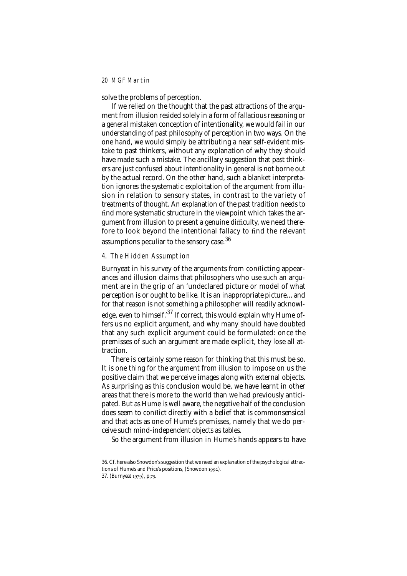solve the problems of perception.

If we relied on the thought that the past attractions of the argument from illusion resided solely in a form of fallacious reasoning or a general mistaken conception of intentionality, we would fail in our understanding of past philosophy of perception in two ways. On the one hand, we would simply be attributing a near self-evident mistake to past thinkers, without any explanation of why they should have made such a mistake. The ancillary suggestion that past thinkers are just confused about intentionality in general is not borne out by the actual record. On the other hand, such a blanket interpretation ignores the systematic exploitation of the argument from illusion in relation to sensory states, in contrast to the variety of treatments of thought. An explanation of the past tradition needs to find more systematic structure in the viewpoint which takes the argument from illusion to present a genuine difficulty, we need therefore to look beyond the intentional fallacy to find the relevant assumptions peculiar to the sensory case.  $36$ 

## 4. The Hidden Assumption

Burnyeat in his survey of the arguments from conflicting appearances and illusion claims that philosophers who use such an argument are in the grip of an 'undeclared picture or model of what perception is or ought to be like. It is an inappropriate picture…and for that reason is not something a philosopher will readily acknowledge, even to himself.<sup>37</sup> If correct, this would explain why Hume offers us no explicit argument, and why many should have doubted that any such explicit argument could be formulated: once the premisses of such an argument are made explicit, they lose all attraction.

There is certainly some reason for thinking that this must be so. It is one thing for the argument from illusion to impose on us the positive claim that we perceive images along with external objects. As surprising as this conclusion would be, we have learnt in other areas that there is more to the world than we had previously anticipated. But as Hume is well aware, the negative half of the conclusion does seem to conflict directly with a belief that is commonsensical and that acts as one of Hume's premisses, namely that we do perceive such mind-independent objects as tables.

So the argument from illusion in Hume's hands appears to have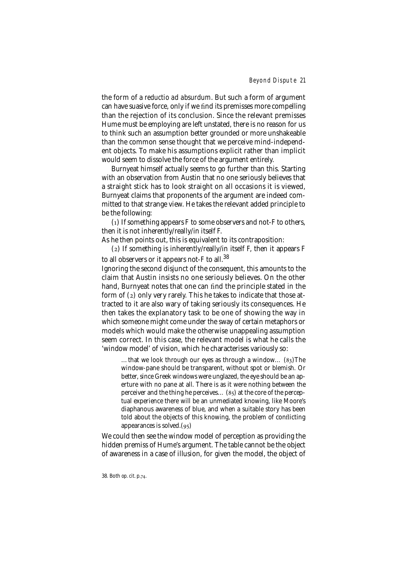the form of a *reductio ad absurdum*. But such a form of argument can have suasive force, only if we find its premisses more compelling than the rejection of its conclusion. Since the relevant premisses Hume must be employing are left unstated, there is no reason for us to think such an assumption better grounded or more unshakeable than the common sense thought that we perceive mind-independent objects. To make his assumptions explicit rather than implicit would seem to dissolve the force of the argument entirely.

Burnyeat himself actually seems to go further than this. Starting with an observation from Austin that no one seriously believes that a straight stick has to look straight on all occasions it is viewed, Burnyeat claims that proponents of the argument are indeed committed to that strange view. He takes the relevant added principle to be the following:

() If something appears *F* to some observers and not-*F* to others, then it is not inherently/really/in itself *F*.

As he then points out, this is equivalent to its contraposition:

(2) If something is inherently/really/in itself  $F$ , then it appears  $F$ to all observers or it appears not- $F$  to all.<sup>38</sup>

Ignoring the second disjunct of the consequent, this amounts to the claim that Austin insists no one seriously believes. On the other hand, Burnyeat notes that one can find the principle stated in the form of  $(2)$  only very rarely. This he takes to indicate that those attracted to it are also wary of taking seriously its consequences. He then takes the explanatory task to be one of showing the way in which someone might come under the sway of certain metaphors or models which would make the otherwise unappealing assumption seem correct. In this case, the relevant model is what he calls the 'window model' of vision, which he characterises variously so:

 $\dots$ that we look through our eyes as through a window...  $(83)$ The window-pane should be transparent, without spot or blemish. Or better, since Greek windows were unglazed, the eye should be an aperture with no pane at all. There is as it were nothing between the perceiver and the thing he perceives...  $(85)$  at the core of the perceptual experience there will be an unmediated knowing, like Moore's diaphanous awareness of blue, and when a suitable story has been told about the objects of this knowing, the problem of conflicting appearances is solved. $(95)$ 

We could then see the window model of perception as providing the hidden premiss of Hume's argument. The table cannot be the object of awareness in a case of illusion, for given the model, the object of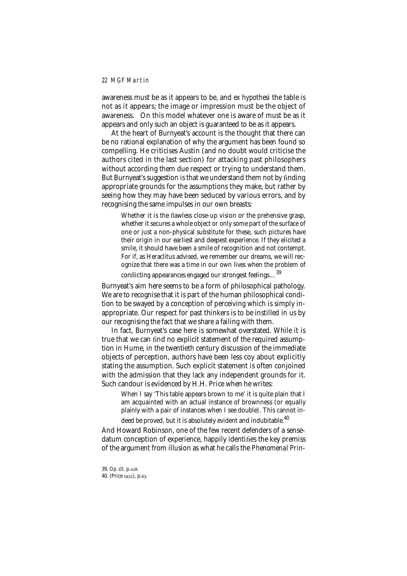awareness must be as it appears to be, and *ex hypothesi* the table is not as it appears; the image or impression must be the object of awareness. On this model whatever one is aware of must be as it appears and only such an object is guaranteed to be as it appears.

At the heart of Burnyeat's account is the thought that there can be no rational explanation of why the argument has been found so compelling. He criticises Austin (and no doubt would criticise the authors cited in the last section) for attacking past philosophers without according them due respect or trying to understand them. But Burnyeat's suggestion is that we understand them not by finding appropriate grounds for the assumptions they make, but rather by seeing how they may have been seduced by various errors, and by recognising the same impulses in our own breasts:

Whether it is the flawless close-up vision or the prehensive grasp, whether it secures a whole object or only some part of the surface of one or just a non-physical substitute for these, such pictures have their origin in our earliest and deepest experience. If they elicited a smile, it should have been a smile of recognition and not contempt. For if, as Heraclitus advised, we remember our dreams, we will recognize that there was a time in our own lives when the problem of conflicting appearances engaged our strongest feelings…<sup>39</sup>

Burnyeat's aim here seems to be a form of philosophical pathology. We are to recognise that it is part of the human philosophical condition to be swayed by a conception of perceiving which is simply inappropriate. Our respect for past thinkers is to be instilled in us by our recognising the fact that we share a failing with them.

In fact, Burnyeat's case here is somewhat overstated. While it is true that we can find no explicit statement of the required assumption in Hume, in the twentieth century discussion of the immediate objects of perception, authors have been less coy about explicitly stating the assumption. Such explicit statement is often conjoined with the admission that they lack any independent grounds for it. Such candour is evidenced by H.H. Price when he writes:

When I say 'This table appears brown to me' it is quite plain that I am acquainted with an actual instance of brownness (or equally plainly with a pair of instances when I see double). This cannot indeed be proved, but it is absolutely evident and indubitable.<sup>40</sup>

And Howard Robinson, one of the few recent defenders of a sensedatum conception of experience, happily identifies the key premiss of the argument from illusion as what he calls the *Phenomenal Prin-*

39. *Op. cit.* p.108. 40. (Price 1932), p.63.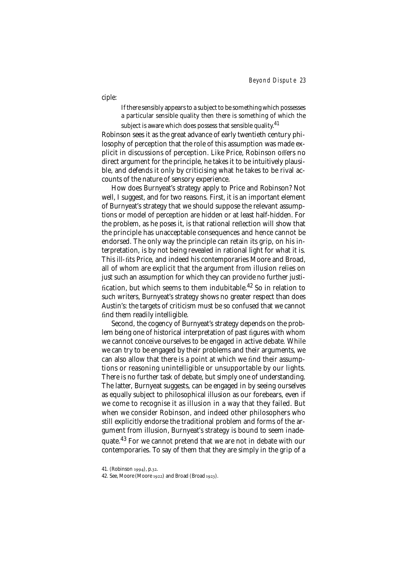*ciple*:

If there sensibly appears to a subject to be something which possesses a particular sensible quality then there is something of which the

subject is aware which does possess that sensible quality. $41$ Robinson sees it as the great advance of early twentieth century philosophy of perception that the role of this assumption was made explicit in discussions of perception. Like Price, Robinson offers no direct argument for the principle, he takes it to be intuitively plausible, and defends it only by criticising what he takes to be rival accounts of the nature of sensory experience.

How does Burnyeat's strategy apply to Price and Robinson? Not well, I suggest, and for two reasons. First, it is an important element of Burnyeat's strategy that we should suppose the relevant assumptions or model of perception are hidden or at least half-hidden. For the problem, as he poses it, is that rational reflection will show that the principle has unacceptable consequences and hence cannot be endorsed. The only way the principle can retain its grip, on his interpretation, is by not being revealed in rational light for what it is. This ill-fits Price, and indeed his contemporaries Moore and Broad, all of whom are explicit that the argument from illusion relies on just such an assumption for which they can provide no further justification, but which seems to them indubitable.<sup>42</sup> So in relation to such writers, Burnyeat's strategy shows no greater respect than does Austin's: the targets of criticism must be so confused that we cannot find them readily intelligible.

Second, the cogency of Burnyeat's strategy depends on the problem being one of historical interpretation of past figures with whom we cannot conceive ourselves to be engaged in active debate. While we can try to be engaged by their problems and their arguments, we can also allow that there is a point at which we find their assumptions or reasoning unintelligible or unsupportable by our lights. There is no further task of debate, but simply one of understanding. The latter, Burnyeat suggests, can be engaged in by seeing ourselves as equally subject to philosophical illusion as our forebears, even if we come to recognise it as illusion in a way that they failed. But when we consider Robinson, and indeed other philosophers who still explicitly endorse the traditional problem and forms of the argument from illusion, Burnyeat's strategy is bound to seem inadequate.<sup>43</sup> For we cannot pretend that we are not in debate with our contemporaries. To say of them that they are simply in the grip of a

<sup>41. (</sup>Robinson 1994), p.32.

<sup>42.</sup> See, Moore (Moore 1922) and Broad (Broad 1923).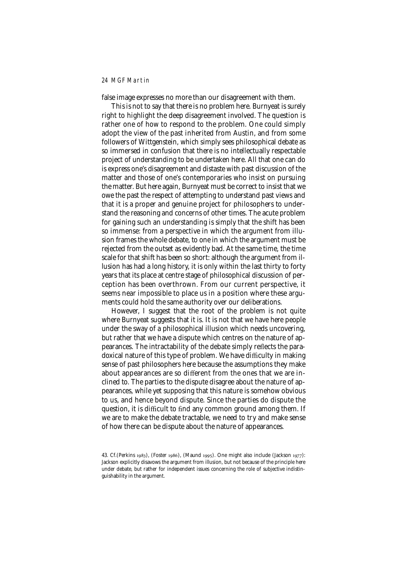false image expresses no more than our disagreement with them.

This is not to say that there is no problem here. Burnyeat is surely right to highlight the deep disagreement involved. The question is rather one of how to respond to the problem. One could simply adopt the view of the past inherited from Austin, and from some followers of Wittgenstein, which simply sees philosophical debate as so immersed in confusion that there is no intellectually respectable project of understanding to be undertaken here. All that one can do is express one's disagreement and distaste with past discussion of the matter and those of one's contemporaries who insist on pursuing the matter. But here again, Burnyeat must be correct to insist that we owe the past the respect of attempting to understand past views and that it is a proper and genuine project for philosophers to understand the reasoning and concerns of other times. The acute problem for gaining such an understanding is simply that the shift has been so immense: from a perspective in which the argument from illusion frames the whole debate, to one in which the argument must be rejected from the outset as evidently bad. At the same time, the time scale for that shift has been so short: although the argument from illusion has had a long history, it is only within the last thirty to forty years that its place at centre stage of philosophical discussion of perception has been overthrown. From our current perspective, it seems near impossible to place us in a position where these arguments could hold the same authority over our deliberations.

However, I suggest that the root of the problem is not quite where Burnyeat suggests that it is. It is not that we have here people under the sway of a philosophical illusion which needs uncovering, but rather that we have a dispute which centres on the nature of appearances. The intractability of the debate simply reflects the paradoxical nature of this type of problem. We have difficulty in making sense of past philosophers here because the assumptions they make about appearances are so different from the ones that we are inclined to. The parties to the dispute disagree about the nature of appearances, while yet supposing that this nature is somehow obvious to us, and hence beyond dispute. Since the parties do dispute the question, it is difficult to find any common ground among them. If we are to make the debate tractable, we need to try and make sense of how there can be dispute about the nature of appearances.

<sup>43.</sup> Cf.(Perkins 1983), (Foster 1986), (Maund 1995). One might also include (Jackson 1977): Jackson explicitly disavows the argument from illusion, but not because of the principle here under debate, but rather for independent issues concerning the role of subjective indistinguishability in the argument.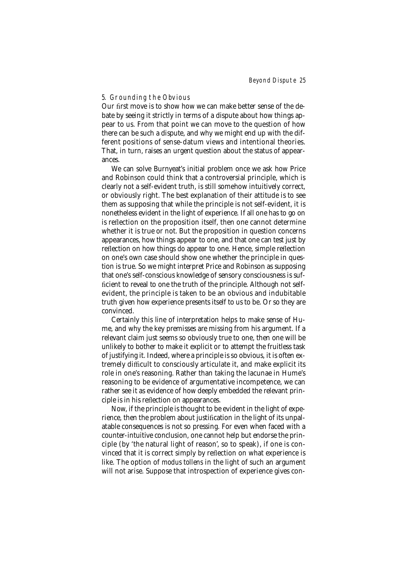#### 5. Grounding the Obvious

Our first move is to show how we can make better sense of the debate by seeing it strictly in terms of a dispute about how things appear to us. From that point we can move to the question of how there can be such a dispute, and why we might end up with the different positions of sense-datum views and intentional theories. That, in turn, raises an urgent question about the status of appearances.

We can solve Burnyeat's initial problem once we ask how Price and Robinson could think that a controversial principle, which is clearly not a self-evident truth, is still somehow intuitively correct, or obviously right. The best explanation of their attitude is to see them as supposing that while the principle is not self-evident, it is nonetheless evident in the light of experience. If all one has to go on is reflection on the proposition itself, then one cannot determine whether it is true or not. But the proposition in question concerns appearances, how things appear to one, and that one can test just by reflection on how things *do* appear to one. Hence, simple reflection on one's own case should show one whether the principle in question is true. So we might interpret Price and Robinson as supposing that one's self-conscious knowledge of sensory consciousness is sufficient to reveal to one the truth of the principle. Although not selfevident, the principle is taken to be an obvious and indubitable truth given how experience presents itself to us to be. Or so they are convinced.

Certainly this line of interpretation helps to make sense of Hume, and why the key premisses are missing from his argument. If a relevant claim just seems so obviously true to one, then one will be unlikely to bother to make it explicit or to attempt the fruitless task of justifying it. Indeed, where a principle is so obvious, it is often extremely difficult to consciously articulate it, and make explicit its role in one's reasoning. Rather than taking the lacunae in Hume's reasoning to be evidence of argumentative incompetence, we can rather see it as evidence of how deeply embedded the relevant principle is in his reflection on appearances.

Now, if the principle is thought to be evident in the light of experience, then the problem about justification in the light of its unpalatable consequences is not so pressing. For even when faced with a counter-intuitive conclusion, one cannot help but endorse the principle (by 'the natural light of reason', so to speak), if one is convinced that it is correct simply by reflection on what experience is like. The option of *modus tollens* in the light of such an argument will not arise. Suppose that introspection of experience gives con-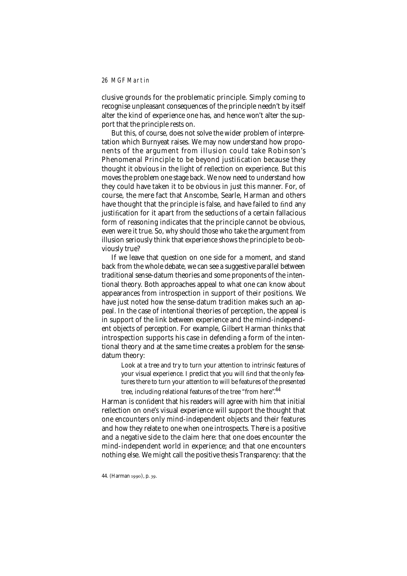clusive grounds for the problematic principle. Simply coming to recognise unpleasant consequences of the principle needn't by itself alter the kind of experience one has, and hence won't alter the support that the principle rests on.

But this, of course, does not solve the wider problem of interpretation which Burnyeat raises. We may now understand how proponents of the argument from illusion could take Robinson's Phenomenal Principle to be beyond justification because they thought it obvious in the light of reflection on experience. But this moves the problem one stage back. We now need to understand how they could have taken it to be obvious in just this manner. For, of course, the mere fact that Anscombe, Searle, Harman and others have thought that the principle is false, and have failed to find any justification for it apart from the seductions of a certain fallacious form of reasoning indicates that the principle cannot be obvious, even were it true. So, why should those who take the argument from illusion seriously think that experience shows the principle to be obviously true?

If we leave that question on one side for a moment, and stand back from the whole debate, we can see a suggestive parallel between traditional sense-datum theories and some proponents of the intentional theory. Both approaches appeal to what one can know about appearances from introspection in support of their positions. We have just noted how the sense-datum tradition makes such an appeal. In the case of intentional theories of perception, the appeal is in support of the link between experience and the mind-independent objects of perception. For example, Gilbert Harman thinks that introspection supports his case in defending a form of the intentional theory and at the same time creates a problem for the sensedatum theory:

Look at a tree and try to turn your attention to intrinsic features of your visual experience. I predict that you will find that the only features there to turn your attention to will be features of the presented tree, including relational features of the tree "from here".<sup>44</sup>

Harman is confident that his readers will agree with him that initial reflection on one's visual experience will support the thought that one encounters only mind-independent objects and their features and how they relate to one when one introspects. There is a positive and a negative side to the claim here: that one does encounter the mind-independent world in experience; and that one encounters nothing else. We might call the positive thesis *Transparency:* that the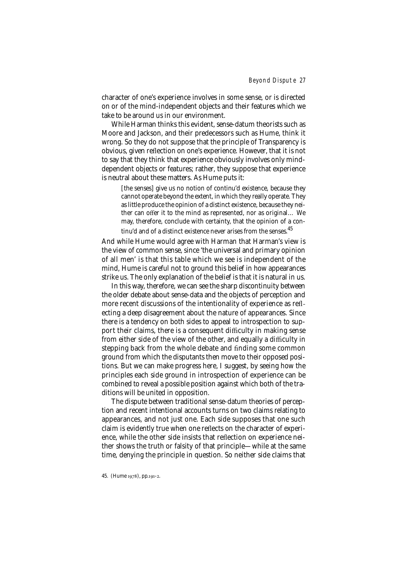character of one's experience involves in some sense, or is directed on or of the mind-independent objects and their features which we take to be around us in our environment.

While Harman thinks this evident, sense-datum theorists such as Moore and Jackson, and their predecessors such as Hume, think it wrong. So they do not suppose that the principle of Transparency is obvious, given reflection on one's experience. However, that it is not to say that they think that experience obviously involves only minddependent objects or features; rather, they suppose that experience is neutral about these matters. As Hume puts it:

[the senses] give us no notion of continu'd existence, because they cannot operate beyond the extent, in which they really operate. They as little produce the opinion of a distinct existence, because they neither can offer it to the mind as represented, nor as original… We may, therefore, conclude with certainty, that the opinion of a continu'd and of a distinct existence never arises from the senses.<sup>45</sup>

And while Hume would agree with Harman that Harman's view is the view of common sense, since 'the universal and primary opinion of all men' is that this table which we see is independent of the mind, Hume is careful not to ground this belief in how appearances strike us. The only explanation of the belief is that it is natural in us.

In this way, therefore, we can see the sharp discontinuity between the older debate about sense-data and the objects of perception and more recent discussions of the intentionality of experience as reflecting a deep disagreement about the nature of appearances. Since there is a tendency on both sides to appeal to introspection to support their claims, there is a consequent difficulty in making sense from either side of the view of the other, and equally a difficulty in stepping back from the whole debate and finding some common ground from which the disputants then move to their opposed positions. But we can make progress here, I suggest, by seeing how the principles each side ground in introspection of experience can be combined to reveal a possible position against which both of the traditions will be united in opposition.

The dispute between traditional sense-datum theories of perception and recent intentional accounts turns on two claims relating to appearances, and not just one. Each side supposes that one such claim is evidently true when one reflects on the character of experience, while the other side insists that reflection on experience neither shows the truth or falsity of that principle—while at the same time, denying the principle in question. So neither side claims that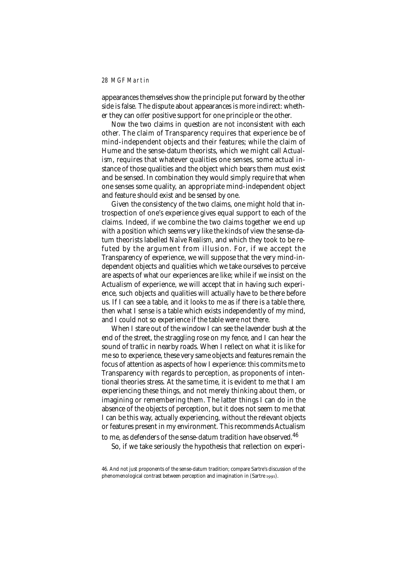appearances themselves show the principle put forward by the other side is false. The dispute about appearances is more indirect: whether they can offer positive support for one principle or the other.

Now the two claims in question are not inconsistent with each other. The claim of Transparency requires that experience be of mind-independent objects and their features; while the claim of Hume and the sense-datum theorists, which we might call *Actualism*, requires that whatever qualities one senses, some actual instance of those qualities and the object which bears them must exist and be sensed. In combination they would simply require that when one senses some quality, an appropriate mind-independent object and feature should exist and be sensed by one.

Given the consistency of the two claims, one might hold that introspection of one's experience gives equal support to each of the claims. Indeed, if we combine the two claims together we end up with a position which seems very like the kinds of view the sense-datum theorists labelled *Naïve Realism*, and which they took to be refuted by the argument from illusion. For, if we accept the Transparency of experience, we will suppose that the very mind-independent objects and qualities which we take ourselves to perceive are aspects of what our experiences are like; while if we insist on the Actualism of experience, we will accept that in having such experience, such objects and qualities will actually have to be there before us. If I can see a table, and it looks to me as if there is a table there, then what I sense is a table which exists independently of my mind, and I could not so experience if the table were not there.

When I stare out of the window I can see the lavender bush at the end of the street, the straggling rose on my fence, and I can hear the sound of traffic in nearby roads. When I reflect on what it is like for me so to experience, these very same objects and features remain the focus of attention as aspects of how I experience: this commits me to Transparency with regards to perception, as proponents of intentional theories stress. At the same time, it is evident to me that I am experiencing these things, and not merely thinking about them, or imagining or remembering them. The latter things I can do in the absence of the objects of perception, but it does not seem to me that I can be this way, actually experiencing, without the relevant objects or features present in my environment. This recommends Actualism to me, as defenders of the sense-datum tradition have observed.<sup>46</sup>

So, if we take seriously the hypothesis that reflection on experi-

46. And not just proponents of the sense-datum tradition; compare Sartre's discussion of the phenomenological contrast between perception and imagination in (Sartre 1991).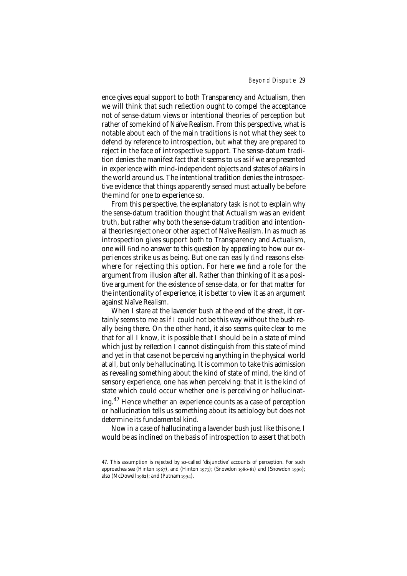ence gives equal support to both Transparency and Actualism, then we will think that such reflection ought to compel the acceptance not of sense-datum views or intentional theories of perception but rather of some kind of Naïve Realism. From this perspective, what is notable about each of the main traditions is not what they seek to defend by reference to introspection, but what they are prepared to reject in the face of introspective support. The sense-datum tradition denies the manifest fact that it seems to us as if we are presented in experience with mind-independent objects and states of affairs in the world around us. The intentional tradition denies the introspective evidence that things apparently sensed must actually be before the mind for one to experience so.

From this perspective, the explanatory task is not to explain why the sense-datum tradition thought that Actualism was an evident truth, but rather why both the sense-datum tradition and intentional theories reject one or other aspect of Naïve Realism. In as much as introspection gives support both to Transparency and Actualism, one will find no answer to this question by appealing to how our experiences strike us as being. But one can easily find reasons elsewhere for rejecting this option. For here we find a role for the argument from illusion after all. Rather than thinking of it as a positive argument for the existence of sense-data, or for that matter for the intentionality of experience, it is better to view it as an argument against Naïve Realism.

When I stare at the lavender bush at the end of the street, it certainly seems to me as if I could not be this way without the bush really being there. On the other hand, it also seems quite clear to me that for all I know, it is possible that I should be in a state of mind which just by reflection I cannot distinguish from this state of mind and yet in that case not be perceiving anything in the physical world at all, but only be hallucinating. It is common to take this admission as revealing something about the kind of state of mind, the kind of sensory experience, one has when perceiving: that it is the kind of state which could occur whether one is perceiving or hallucinating.47 Hence whether an experience counts as a case of perception or hallucination tells us something about its aetiology but does not determine its fundamental kind.

Now in a case of hallucinating a lavender bush just like this one, I would be as inclined on the basis of introspection to assert that both

<sup>47.</sup> This assumption is rejected by so-called 'disjunctive' accounts of perception. For such approaches see (Hinton 1967), and (Hinton 1973); (Snowdon 1980-81) and (Snowdon 1990); also (McDowell  $1982$ ); and (Putnam  $1994$ ).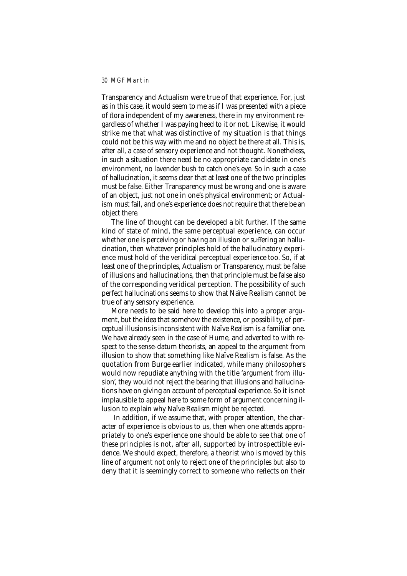Transparency and Actualism were true of that experience. For, just as in this case, it would seem to me as if I was presented with a piece of flora independent of my awareness, there in my environment regardless of whether I was paying heed to it or not. Likewise, it would strike me that what was distinctive of my situation is that things could not be this way with me and no object be there at all. This is, after all, a case of sensory experience and not thought. Nonetheless, in such a situation there need be no appropriate candidate in one's environment, no lavender bush to catch one's eye. So in such a case of hallucination, it seems clear that at least one of the two principles must be false. Either Transparency must be wrong and one is aware of an object, just not one in one's physical environment; or Actualism must fail, and one's experience does not require that there be an object there.

The line of thought can be developed a bit further. If the same kind of state of mind, the same perceptual experience, can occur whether one is perceiving or having an illusion or suffering an hallucination, then whatever principles hold of the hallucinatory experience must hold of the veridical perceptual experience too. So, if at least one of the principles, Actualism or Transparency, must be false of illusions and hallucinations, then that principle must be false also of the corresponding veridical perception. The possibility of such perfect hallucinations seems to show that Naïve Realism cannot be true of any sensory experience.

More needs to be said here to develop this into a proper argument, but the idea that somehow the existence, or possibility, of perceptual illusions is inconsistent with Naïve Realism is a familiar one. We have already seen in the case of Hume, and adverted to with respect to the sense-datum theorists, an appeal to the argument from illusion to show that something like Naïve Realism is false. As the quotation from Burge earlier indicated, while many philosophers would now repudiate anything with the title 'argument from illusion', they would not reject the bearing that illusions and hallucinations have on giving an account of perceptual experience. So it is not implausible to appeal here to some form of argument concerning illusion to explain why Naïve Realism might be rejected.

 In addition, if we assume that, with proper attention, the character of experience is obvious to us, then when one attends appropriately to one's experience one should be able to see that one of these principles is not, after all, supported by introspectible evidence. We should expect, therefore, a theorist who is moved by this line of argument not only to reject one of the principles but also to deny that it is seemingly correct to someone who reflects on their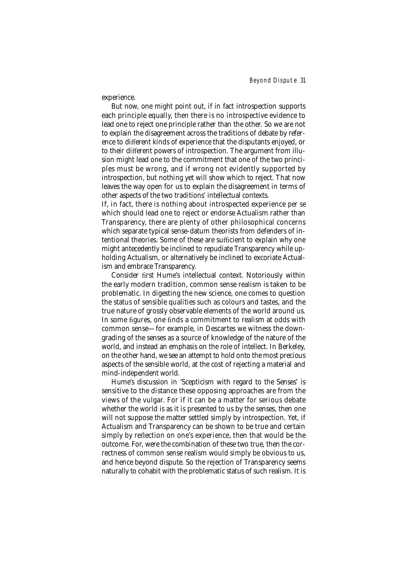experience.

But now, one might point out, if in fact introspection supports each principle equally, then there is no introspective evidence to lead one to reject one principle rather than the other. So we are not to explain the disagreement across the traditions of debate by reference to different kinds of experience that the disputants enjoyed, or to their different powers of introspection. The argument from illusion might lead one to the commitment that one of the two principles must be wrong, and if wrong not evidently supported by introspection, but nothing yet will show which to reject. That now leaves the way open for us to explain the disagreement in terms of other aspects of the two traditions' intellectual contexts.

If, in fact, there is nothing about introspected experience *per se* which should lead one to reject or endorse Actualism rather than Transparency, there are plenty of other philosophical concerns which separate typical sense-datum theorists from defenders of intentional theories. Some of these are sufficient to explain why one might antecedently be inclined to repudiate Transparency while upholding Actualism, or alternatively be inclined to excoriate Actualism and embrace Transparency.

Consider first Hume's intellectual context. Notoriously within the early modern tradition, common sense realism is taken to be problematic. In digesting the new science, one comes to question the status of sensible qualities such as colours and tastes, and the true nature of grossly observable elements of the world around us. In some figures, one finds a commitment to realism at odds with common sense—for example, in Descartes we witness the downgrading of the senses as a source of knowledge of the nature of the world, and instead an emphasis on the role of intellect. In Berkeley, on the other hand, we see an attempt to hold onto the most precious aspects of the sensible world, at the cost of rejecting a material and mind-independent world.

Hume's discussion in 'Scepticism with regard to the Senses' is sensitive to the distance these opposing approaches are from the views of the vulgar. For if it can be a matter for serious debate whether the world is as it is presented to us by the senses, then one will not suppose the matter settled simply by introspection. Yet, if Actualism and Transparency can be shown to be true and certain simply by reflection on one's experience, then that would be the outcome. For, were the combination of these two true, then the correctness of common sense realism would simply be obvious to us, and hence beyond dispute. So the rejection of Transparency seems naturally to cohabit with the problematic status of such realism. It is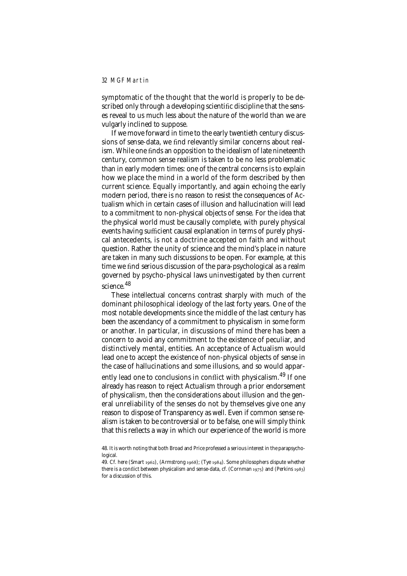symptomatic of the thought that the world is properly to be described only through a developing scientific discipline that the senses reveal to us much less about the nature of the world than we are vulgarly inclined to suppose.

If we move forward in time to the early twentieth century discussions of sense-data, we find relevantly similar concerns about realism. While one finds an opposition to the idealism of late nineteenth century, common sense realism is taken to be no less problematic than in early modern times: one of the central concerns is to explain how we place the mind in a world of the form described by then current science. Equally importantly, and again echoing the early modern period, there is no reason to resist the consequences of Actualism which in certain cases of illusion and hallucination will lead to a commitment to non-physical objects of sense. For the idea that the physical world must be causally complete, with purely physical events having sufficient causal explanation in terms of purely physical antecedents, is not a doctrine accepted on faith and without question. Rather the unity of science and the mind's place in nature are taken in many such discussions to be open. For example, at this time we find serious discussion of the para-psychological as a realm governed by psycho-physical laws uninvestigated by then current science.<sup>48</sup>

These intellectual concerns contrast sharply with much of the dominant philosophical ideology of the last forty years. One of the most notable developments since the middle of the last century has been the ascendancy of a commitment to physicalism in some form or another. In particular, in discussions of mind there has been a concern to avoid any commitment to the existence of peculiar, and distinctively mental, entities. An acceptance of Actualism would lead one to accept the existence of non-physical objects of sense in the case of hallucinations and some illusions, and so would apparently lead one to conclusions in conflict with physicalism.<sup>49</sup> If one already has reason to reject Actualism through a prior endorsement of physicalism, then the considerations about illusion and the general unreliability of the senses do not by themselves give one any reason to dispose of Transparency as well. Even if common sense realism is taken to be controversial or to be false, one will simply think that this reflects a way in which our experience of the world is more

<sup>48.</sup> It is worth noting that both Broad and Price professed a serious interest in the parapsychological.

<sup>49.</sup> Cf. here (Smart 1962), (Armstrong 1968); (Tye 1984). Some philosophers dispute whether there is a conflict between physicalism and sense-data, cf. (Cornman 1975) and (Perkins 1983) for a discussion of this.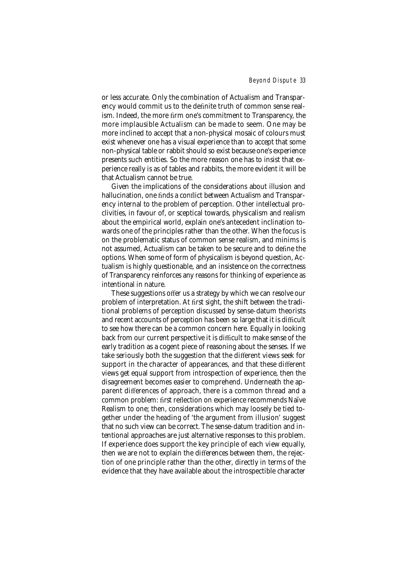or less accurate. Only the combination of Actualism and Transparency would commit us to the definite truth of common sense realism. Indeed, the more firm one's commitment to Transparency, the more implausible Actualism can be made to seem. One may be more inclined to accept that a non-physical mosaic of colours must exist whenever one has a visual experience than to accept that some non-physical table or rabbit should so exist because one's experience presents such entities. So the more reason one has to insist that experience really is as of tables and rabbits, the more evident it will be that Actualism cannot be true.

Given the implications of the considerations about illusion and hallucination, one finds a conflict between Actualism and Transparency internal to the problem of perception. Other intellectual proclivities, in favour of, or sceptical towards, physicalism and realism about the empirical world, explain one's antecedent inclination towards one of the principles rather than the other. When the focus is on the problematic status of common sense realism, and minims is not assumed, Actualism can be taken to be secure and to define the options. When some of form of physicalism is beyond question, Actualism is highly questionable, and an insistence on the correctness of Transparency reinforces any reasons for thinking of experience as intentional in nature.

These suggestions offer us a strategy by which we can resolve our problem of interpretation. At first sight, the shift between the traditional problems of perception discussed by sense-datum theorists and recent accounts of perception has been so large that it is difficult to see how there can be a common concern here. Equally in looking back from our current perspective it is difficult to make sense of the early tradition as a cogent piece of reasoning about the senses. If we take seriously both the suggestion that the different views seek for support in the character of appearances, and that these different views get equal support from introspection of experience, then the disagreement becomes easier to comprehend. Underneath the apparent differences of approach, there is a common thread and a common problem: first reflection on experience recommends Naïve Realism to one; then, considerations which may loosely be tied together under the heading of 'the argument from illusion' suggest that no such view can be correct. The sense-datum tradition and intentional approaches are just alternative responses to this problem. If experience does support the key principle of each view equally, then we are not to explain the differences between them, the rejection of one principle rather than the other, directly in terms of the evidence that they have available about the introspectible character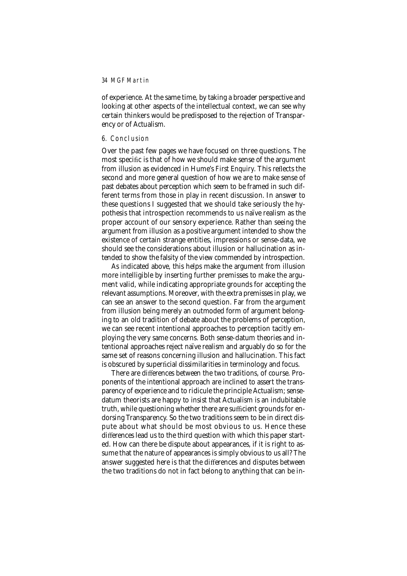#### 34 MGF Martin

of experience. At the same time, by taking a broader perspective and looking at other aspects of the intellectual context, we can see why certain thinkers would be predisposed to the rejection of Transparency or of Actualism.

## 6. Conclusion

Over the past few pages we have focused on three questions. The most specific is that of how we should make sense of the argument from illusion as evidenced in Hume's *First Enquiry*. This reflects the second and more general question of how we are to make sense of past debates about perception which seem to be framed in such different terms from those in play in recent discussion. In answer to these questions I suggested that we should take seriously the hypothesis that introspection recommends to us naïve realism as the proper account of our sensory experience. Rather than seeing the argument from illusion as a positive argument intended to show the existence of certain strange entities, impressions or sense-data, we should see the considerations about illusion or hallucination as intended to show the falsity of the view commended by introspection.

As indicated above, this helps make the argument from illusion more intelligible by inserting further premisses to make the argument valid, while indicating appropriate grounds for accepting the relevant assumptions. Moreover, with the extra premisses in play, we can see an answer to the second question. Far from the argument from illusion being merely an outmoded form of argument belonging to an old tradition of debate about the problems of perception, we can see recent intentional approaches to perception tacitly employing the very same concerns. Both sense-datum theories and intentional approaches reject naïve realism and arguably do so for the same set of reasons concerning illusion and hallucination. This fact is obscured by superficial dissimilarities in terminology and focus.

There are differences between the two traditions, of course. Proponents of the intentional approach are inclined to assert the transparency of experience and to ridicule the principle Actualism; sensedatum theorists are happy to insist that Actualism is an indubitable truth, while questioning whether there are sufficient grounds for endorsing Transparency. So the two traditions seem to be in direct dispute about what should be most obvious to us. Hence these differences lead us to the third question with which this paper started. How can there be dispute about appearances, if it is right to assume that the nature of appearances is simply obvious to us all? The answer suggested here is that the differences and disputes between the two traditions do not in fact belong to anything that can be in-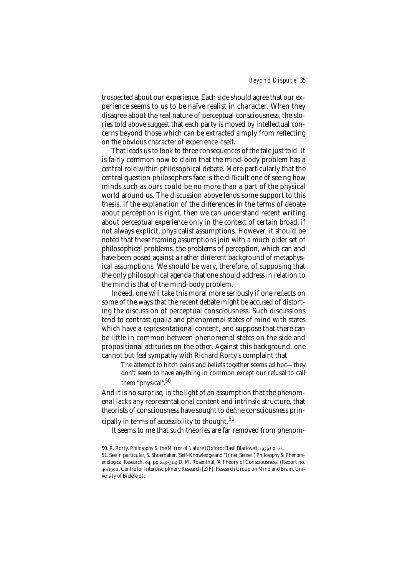trospected about our experience. Each side should agree that our experience seems to us to be naïve realist in character. When they disagree about the real nature of perceptual consciousness, the stories told above suggest that each party is moved by intellectual concerns beyond those which can be extracted simply from reflecting on the obvious character of experience itself.

That leads us to look to three consequences of the tale just told. It is fairly common now to claim that the mind-body problem has a central role within philosophical debate. More particularly that the central question philosophers face is the difficult one of seeing how minds such as ours could be no more than a part of the physical world around us. The discussion above lends some support to this thesis. If the explanation of the differences in the terms of debate about perception is right, then we can understand recent writing about perceptual experience only in the context of certain broad, if not always explicit, physicalist assumptions. However, it should be noted that these framing assumptions join with a much older set of philosophical problems, the problems of perception, which can and have been posed against a rather different background of metaphysical assumptions. We should be wary, therefore, of supposing that the only philosophical agenda that one should address in relation to the mind is that of the mind-body problem.

Indeed, one will take this moral more seriously if one reflects on some of the ways that the recent debate might be accused of distorting the discussion of perceptual consciousness. Such discussions tend to contrast qualia and phenomenal states of mind with states which have a representational content, and suppose that there can be little in common between phenomenal states on the side and propositional attitudes on the other. Against this background, one cannot but feel sympathy with Richard Rorty's complaint that

The attempt to hitch pains and beliefs together seems ad hoc—they don't seem to have anything in common except our refusal to call them "physical".<sup>50</sup>

And it is no surprise, in the light of an assumption that the phenomenal lacks any representational content and intrinsic structure, that theorists of consciousness have sought to define consciousness prin-

cipally in terms of accessibility to thought.<sup>51</sup>

It seems to me that such theories are far removed from phenom-

<sup>50.</sup> R. Rorty, *Philosophy & the Mirror of Nature* (Oxford: Basil Blackwell, 1979) p. 22.

<sup>51.</sup> See in particular, S. Shoemaker, 'Self-Knowledge and "Inner Sense"', *Philosophy & Phenomenological Research*, 64, pp.249-314; D. M. Rosenthal, 'A Theory of Consciousness' (Report no. 40/1990, Centre for Interdisciplinary Research [ZiF], Research Group on Mind and Brain, University of Bielefeld).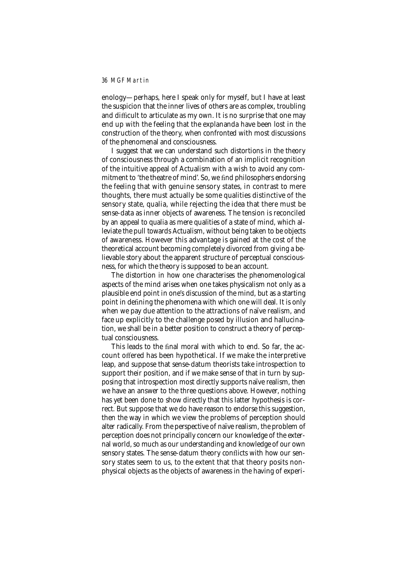enology—perhaps, here I speak only for myself, but I have at least the suspicion that the inner lives of others are as complex, troubling and difficult to articulate as my own. It is no surprise that one may end up with the feeling that the explananda have been lost in the construction of the theory, when confronted with most discussions of the phenomenal and consciousness.

I suggest that we can understand such distortions in the theory of consciousness through a combination of an implicit recognition of the intuitive appeal of Actualism with a wish to avoid any commitment to 'the theatre of mind'. So, we find philosophers endorsing the feeling that with genuine sensory states, in contrast to mere thoughts, there must actually be some qualities distinctive of the sensory state, qualia, while rejecting the idea that there must be sense-data as inner objects of awareness. The tension is reconciled by an appeal to qualia as mere qualities of a state of mind, which alleviate the pull towards Actualism, without being taken to be objects of awareness. However this advantage is gained at the cost of the theoretical account becoming completely divorced from giving a believable story about the apparent structure of perceptual consciousness, for which the theory is supposed to be an account.

The distortion in how one characterises the phenomenological aspects of the mind arises when one takes physicalism not only as a plausible end point in one's discussion of the mind, but as a starting point in defining the phenomena with which one will deal. It is only when we pay due attention to the attractions of naïve realism, and face up explicitly to the challenge posed by illusion and hallucination, we shall be in a better position to construct a theory of perceptual consciousness.

This leads to the final moral with which to end. So far, the account offered has been hypothetical. If we make the interpretive leap, and suppose that sense-datum theorists take introspection to support their position, and if we make sense of that in turn by supposing that introspection most directly supports naïve realism, then we have an answer to the three questions above. However, nothing has yet been done to show directly that this latter hypothesis is correct. But suppose that we do have reason to endorse this suggestion, then the way in which we view the problems of perception should alter radically. From the perspective of naïve realism, the problem of perception does not principally concern our knowledge of the external world, so much as our understanding and knowledge of our own sensory states. The sense-datum theory conflicts with how our sensory states seem to us, to the extent that that theory posits nonphysical objects as the objects of awareness in the having of experi-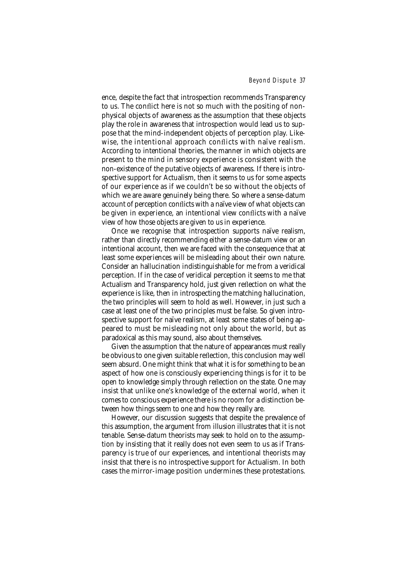ence, despite the fact that introspection recommends Transparency to us. The conflict here is not so much with the positing of nonphysical objects of awareness as the assumption that these objects play the role in awareness that introspection would lead us to suppose that the mind-independent objects of perception play. Likewise, the intentional approach conflicts with naïve realism. According to intentional theories, the manner in which objects are present to the mind in sensory experience is consistent with the non-existence of the putative objects of awareness. If there is introspective support for Actualism, then it seems to us for some aspects of our experience as if we couldn't be so without the objects of which we are aware genuinely being there. So where a sense-datum account of perception conflicts with a naïve view of *what* objects can be given in experience, an intentional view conflicts with a naïve view of *how* those objects are given to us in experience.

Once we recognise that introspection supports naïve realism, rather than directly recommending either a sense-datum view or an intentional account, then we are faced with the consequence that at least some experiences will be misleading about their own nature. Consider an hallucination indistinguishable for me from a veridical perception. If in the case of veridical perception it seems to me that Actualism and Transparency hold, just given reflection on what the experience is like, then in introspecting the matching hallucination, the two principles will seem to hold as well. However, in just such a case at least one of the two principles must be false. So given introspective support for naïve realism, at least some states of being appeared to must be misleading not only about the world, but as paradoxical as this may sound, also about themselves.

Given the assumption that the nature of appearances must really be obvious to one given suitable reflection, this conclusion may well seem absurd. One might think that what it is for something to be an aspect of how one is consciously experiencing things is for it to be open to knowledge simply through reflection on the state. One may insist that unlike one's knowledge of the external world, when it comes to conscious experience there is no room for a distinction between how things seem to one and how they really are.

However, our discussion suggests that despite the prevalence of this assumption, the argument from illusion illustrates that it is not tenable. Sense-datum theorists may seek to hold on to the assumption by insisting that it really does not even seem to us as if Transparency is true of our experiences, and intentional theorists may insist that there is no introspective support for Actualism. In both cases the mirror-image position undermines these protestations.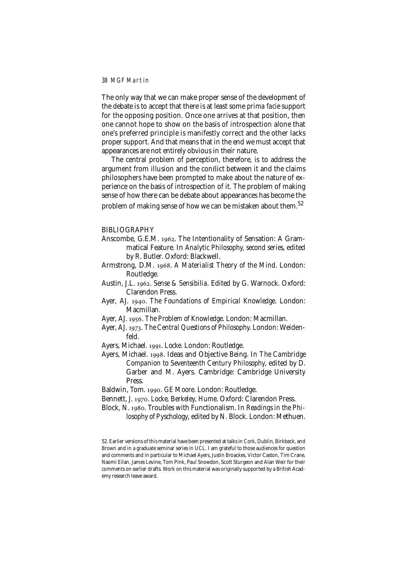The only way that we can make proper sense of the development of the debate is to accept that there is at least some *prima facie* support for the opposing position. Once one arrives at that position, then one cannot hope to show on the basis of introspection alone that one's preferred principle is manifestly correct and the other lacks proper support. And that means that in the end we must accept that appearances are not entirely obvious in their nature.

The central problem of perception, therefore, is to address the argument from illusion and the conflict between it and the claims philosophers have been prompted to make about the nature of experience on the basis of introspection of it. The problem of making sense of how there can be debate about appearances has become the problem of making sense of how we can be mistaken about them.<sup>52</sup>

#### BIBLIOGRAPHY

- Anscombe, G.E.M. 1962. The Intentionality of Sensation: A Grammatical Feature. In *Analytic Philosophy, second series*, edited by R. Butler. Oxford: Blackwell.
- Armstrong, D.M. 1968. A Materialist Theory of the Mind. London: Routledge.
- Austin, J.L. . *Sense & Sensibilia*. Edited by G. Warnock. Oxford: Clarendon Press.
- Ayer, AJ. . *The Foundations of Empirical Knowledge*. London: Macmillan.
- Ayer, AJ. . *The Problem of Knowledge*. London: Macmillan.
- Ayer, AJ. . *The Central Questions of Philosophy*. London: Weidenfeld.
- Ayers, Michael. 1991. *Locke*. London: Routledge.
- Ayers, Michael. 1998. Ideas and Objective Being. In *The Cambridge Companion to Seventeenth Century Philosophy*, edited by D. Garber and M. Ayers. Cambridge: Cambridge University Press.
- Baldwin, Tom. 1990. GE Moore. London: Routledge.
- Bennett, J. 1970. *Locke, Berkeley, Hume*. Oxford: Clarendon Press.
- Block, N. 1980. Troubles with Functionalism. In *Readings in the Philosophy of Pyschology*, edited by N. Block. London: Methuen.

52. Earlier versions of this material have been presented at talks in Cork, Dublin, Birkbeck, and Brown and in a graduate seminar series in UCL. I am grateful to those audiences for question and comments and in particular to Michael Ayers, Justin Broackes, Victor Caston, Tim Crane, Naomi Eilan, James Levine, Tom Pink, Paul Snowdon, Scott Sturgeon and Alan Weir for their comments on earlier drafts. Work on this material was originally supported by a British Academy research leave award.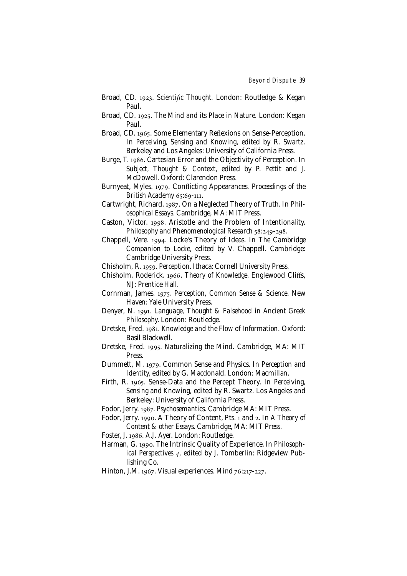- Broad, CD. . *Scientific Thought*. London: Routledge & Kegan Paul.
- Broad, CD. . *The Mind and its Place in Nature*. London: Kegan Paul.
- Broad, CD. 1965. Some Elementary Reflexions on Sense-Perception. In *Perceiving, Sensing and Knowing*, edited by R. Swartz. Berkeley and Los Angeles: University of California Press.
- Burge, T. 1986. Cartesian Error and the Objectivity of Perception. In *Subject, Thought & Context*, edited by P. Pettit and J. McDowell. Oxford: Clarendon Press.
- Burnyeat, Myles. 1979. Conflicting Appearances. *Proceedings of the British Academy* 65:69-111.
- Cartwright, Richard. 1987. On a Neglected Theory of Truth. In *Philosophical Essays*. Cambridge, MA: MIT Press.
- Caston, Victor. 1998. Aristotle and the Problem of Intentionality. *Philosophy and Phenomenological Research*  $58:249-298$ .
- Chappell, Vere. 1994. Locke's Theory of Ideas. In *The Cambridge Companion to Locke*, edited by V. Chappell. Cambridge: Cambridge University Press.
- Chisholm, R. . *Perception*. Ithaca: Cornell University Press.
- Chisholm, Roderick. . *Theory of Knowledge*. Englewood Cliffs, NJ: Prentice Hall.
- Cornman, James. 1975. Perception, Common Sense & Science. New Haven: Yale University Press.
- Denyer, N. . *Language, Thought & Falsehood in Ancient Greek Philosophy*. London: Routledge.
- Dretske, Fred. . *Knowledge and the Flow of Information*. Oxford: Basil Blackwell.
- Dretske, Fred. . *Naturalizing the Mind*. Cambridge, MA: MIT Press.
- Dummett, M. 1979. Common Sense and Physics. In *Perception and Identity*, edited by G. Macdonald. London: Macmillan.
- Firth, R. 1965. Sense-Data and the Percept Theory. In *Perceiving*, *Sensing and Knowing*, edited by R. Swartz. Los Angeles and Berkeley: University of California Press.

Fodor, Jerry. . *Psychosemantics*. Cambridge MA: MIT Press.

- Fodor, Jerry. 1990. A Theory of Content, Pts. 1 and 2. In *A Theory of Content & other Essays*. Cambridge, MA: MIT Press.
- Foster, J. . *A.J. Ayer*. London: Routledge.
- Harman, G. 1990. The Intrinsic Quality of Experience. In *Philosophical Perspectives* , edited by J. Tomberlin: Ridgeview Publishing Co.
- Hinton, J.M. 1967. Visual experiences. *Mind* 76:217-227.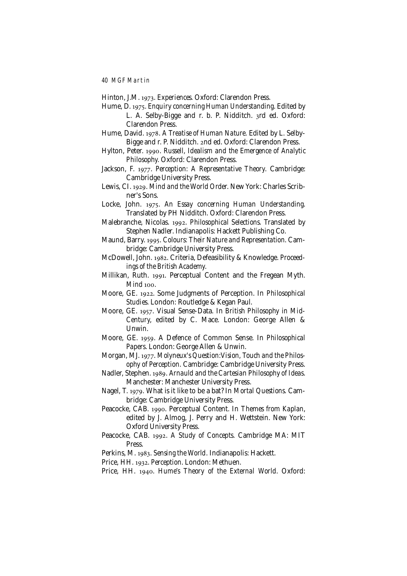Hinton, J.M. . *Experiences*. Oxford: Clarendon Press.

- Hume, D. . *Enquiry concerning Human Understanding*. Edited by L. A. Selby-Bigge and r. b. P. Nidditch. 3rd ed. Oxford: Clarendon Press.
- Hume, David. . *A Treatise of Human Nature*. Edited by L. Selby-Bigge and r. P. Nidditch. 2nd ed. Oxford: Clarendon Press.
- Hylton, Peter. 1990. Russell, Idealism and the Emergence of Analytic *Philosophy*. Oxford: Clarendon Press.
- Jackson, F. 1977. *Perception: A Representative Theory*. Cambridge: Cambridge University Press.
- Lewis, CI. 1929. Mind and the World Order. New York: Charles Scribner's Sons.
- Locke, John. 1975. An Essay concerning Human Understanding. Translated by PH Nidditch. Oxford: Clarendon Press.
- Malebranche, Nicolas. . *Philosophical Selections*. Translated by Stephen Nadler. Indianapolis: Hackett Publishing Co.
- Maund, Barry. . *Colours: Their Nature and Representation*. Cambridge: Cambridge University Press.
- McDowell, John. 1982. Criteria, Defeasibility & Knowledge. Proceed*ings of the British Academy*.
- Millikan, Ruth. 1991. Perceptual Content and the Fregean Myth. *Mind* 100.
- Moore, GE. 1922. Some Judgments of Perception. In *Philosophical Studies*. London: Routledge & Kegan Paul.
- Moore, GE. . Visual Sense-Data. In *British Philosophy in Mid-Century*, edited by C. Mace. London: George Allen & Unwin.
- Moore, GE. . A Defence of Common Sense. In *Philosophical Papers*. London: George Allen & Unwin.
- Morgan, MJ. . *Molyneux's Question:Vision, Touch and the Philosophy of Perception*. Cambridge: Cambridge University Press.
- Nadler, Stephen. 1989. Arnauld and the Cartesian Philosophy of Ideas. Manchester: Manchester University Press.
- Nagel, T. 1979. What is it like to be a bat? In *Mortal Questions*. Cambridge: Cambridge University Press.
- Peacocke, CAB. 1990. Perceptual Content. In *Themes from Kaplan*, edited by J. Almog, J. Perry and H. Wettstein. New York: Oxford University Press.
- Peacocke, CAB. 1992. A Study of Concepts. Cambridge MA: MIT Press.
- Perkins, M. 1983. Sensing the World. Indianapolis: Hackett.
- Price, HH. . *Perception*. London: Methuen.
- Price, HH. 1940. *Hume's Theory of the External World*. Oxford: